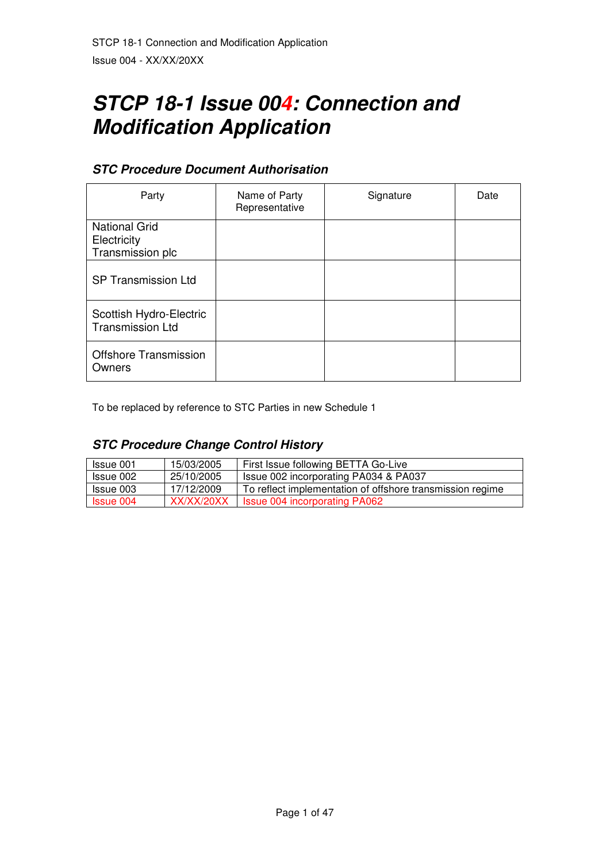# **STCP 18-1 Issue 004: Connection and Modification Application**

## **STC Procedure Document Authorisation**

| Party                                                   | Name of Party<br>Representative | Signature | Date |
|---------------------------------------------------------|---------------------------------|-----------|------|
| <b>National Grid</b><br>Electricity<br>Transmission plc |                                 |           |      |
| <b>SP Transmission Ltd</b>                              |                                 |           |      |
| Scottish Hydro-Electric<br><b>Transmission Ltd</b>      |                                 |           |      |
| <b>Offshore Transmission</b><br>Owners                  |                                 |           |      |

To be replaced by reference to STC Parties in new Schedule 1

# **STC Procedure Change Control History**

| Issue 001        | 15/03/2005 | First Issue following BETTA Go-Live                       |
|------------------|------------|-----------------------------------------------------------|
| Issue 002        | 25/10/2005 | Issue 002 incorporating PA034 & PA037                     |
| Issue 003        | 17/12/2009 | To reflect implementation of offshore transmission regime |
| <b>Issue 004</b> | XX/XX/20XX | <b>Issue 004 incorporating PA062</b>                      |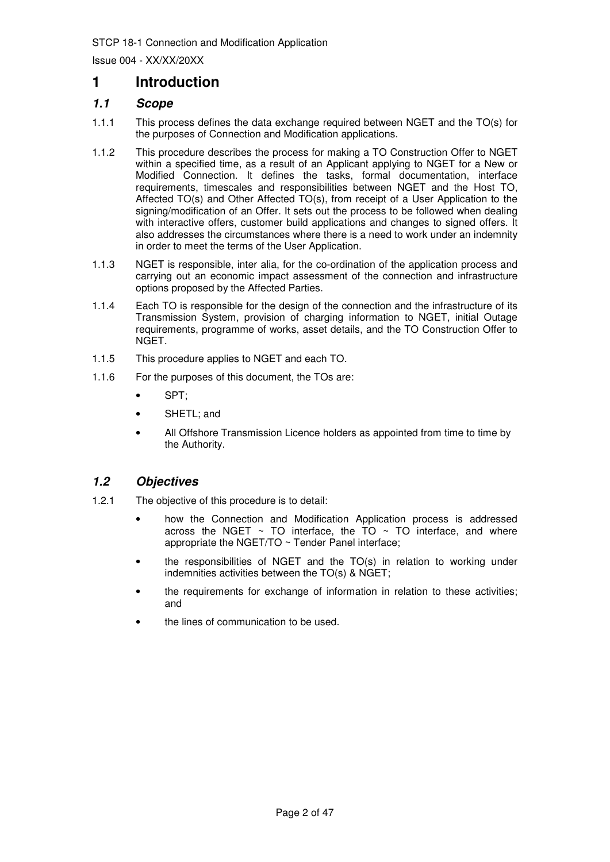Issue 004 - XX/XX/20XX

## **1 Introduction**

## **1.1 Scope**

- 1.1.1 This process defines the data exchange required between NGET and the TO(s) for the purposes of Connection and Modification applications.
- 1.1.2 This procedure describes the process for making a TO Construction Offer to NGET within a specified time, as a result of an Applicant applying to NGET for a New or Modified Connection. It defines the tasks, formal documentation, interface requirements, timescales and responsibilities between NGET and the Host TO, Affected TO(s) and Other Affected TO(s), from receipt of a User Application to the signing/modification of an Offer. It sets out the process to be followed when dealing with interactive offers, customer build applications and changes to signed offers. It also addresses the circumstances where there is a need to work under an indemnity in order to meet the terms of the User Application.
- 1.1.3 NGET is responsible, inter alia, for the co-ordination of the application process and carrying out an economic impact assessment of the connection and infrastructure options proposed by the Affected Parties.
- 1.1.4 Each TO is responsible for the design of the connection and the infrastructure of its Transmission System, provision of charging information to NGET, initial Outage requirements, programme of works, asset details, and the TO Construction Offer to NGET.
- 1.1.5 This procedure applies to NGET and each TO.
- 1.1.6 For the purposes of this document, the TOs are:
	- SPT;
	- SHETL: and
	- All Offshore Transmission Licence holders as appointed from time to time by the Authority.

## **1.2 Objectives**

- 1.2.1 The objective of this procedure is to detail:
	- how the Connection and Modification Application process is addressed across the NGET  $\sim$  TO interface, the TO  $\sim$  TO interface, and where appropriate the NGET/TO ~ Tender Panel interface;
	- the responsibilities of NGET and the TO(s) in relation to working under indemnities activities between the TO(s) & NGET;
	- the requirements for exchange of information in relation to these activities; and
	- the lines of communication to be used.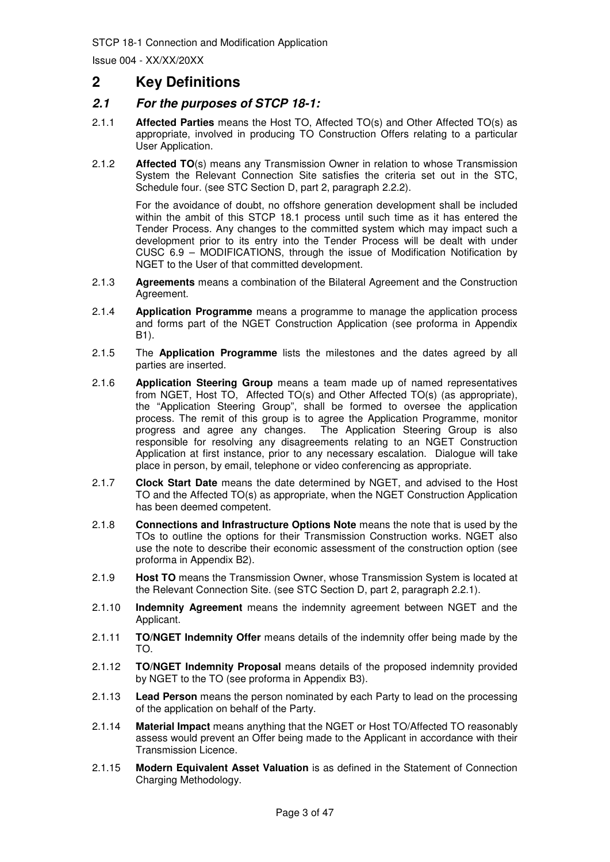## **2 Key Definitions**

## **2.1 For the purposes of STCP 18-1:**

- 2.1.1 **Affected Parties** means the Host TO, Affected TO(s) and Other Affected TO(s) as appropriate, involved in producing TO Construction Offers relating to a particular User Application.
- 2.1.2 **Affected TO**(s) means any Transmission Owner in relation to whose Transmission System the Relevant Connection Site satisfies the criteria set out in the STC, Schedule four. (see STC Section D, part 2, paragraph 2.2.2).

For the avoidance of doubt, no offshore generation development shall be included within the ambit of this STCP 18.1 process until such time as it has entered the Tender Process. Any changes to the committed system which may impact such a development prior to its entry into the Tender Process will be dealt with under CUSC 6.9 – MODIFICATIONS, through the issue of Modification Notification by NGET to the User of that committed development.

- 2.1.3 **Agreements** means a combination of the Bilateral Agreement and the Construction Agreement.
- 2.1.4 **Application Programme** means a programme to manage the application process and forms part of the NGET Construction Application (see proforma in Appendix B1).
- 2.1.5 The **Application Programme** lists the milestones and the dates agreed by all parties are inserted.
- 2.1.6 **Application Steering Group** means a team made up of named representatives from NGET, Host TO, Affected TO(s) and Other Affected TO(s) (as appropriate), the "Application Steering Group", shall be formed to oversee the application process. The remit of this group is to agree the Application Programme, monitor progress and agree any changes. The Application Steering Group is also responsible for resolving any disagreements relating to an NGET Construction Application at first instance, prior to any necessary escalation. Dialogue will take place in person, by email, telephone or video conferencing as appropriate.
- 2.1.7 **Clock Start Date** means the date determined by NGET, and advised to the Host TO and the Affected TO(s) as appropriate, when the NGET Construction Application has been deemed competent.
- 2.1.8 **Connections and Infrastructure Options Note** means the note that is used by the TOs to outline the options for their Transmission Construction works. NGET also use the note to describe their economic assessment of the construction option (see proforma in Appendix B2).
- 2.1.9 **Host TO** means the Transmission Owner, whose Transmission System is located at the Relevant Connection Site. (see STC Section D, part 2, paragraph 2.2.1).
- 2.1.10 **Indemnity Agreement** means the indemnity agreement between NGET and the Applicant.
- 2.1.11 **TO/NGET Indemnity Offer** means details of the indemnity offer being made by the TO.
- 2.1.12 **TO/NGET Indemnity Proposal** means details of the proposed indemnity provided by NGET to the TO (see proforma in Appendix B3).
- 2.1.13 **Lead Person** means the person nominated by each Party to lead on the processing of the application on behalf of the Party.
- 2.1.14 **Material Impact** means anything that the NGET or Host TO/Affected TO reasonably assess would prevent an Offer being made to the Applicant in accordance with their Transmission Licence.
- 2.1.15 **Modern Equivalent Asset Valuation** is as defined in the Statement of Connection Charging Methodology.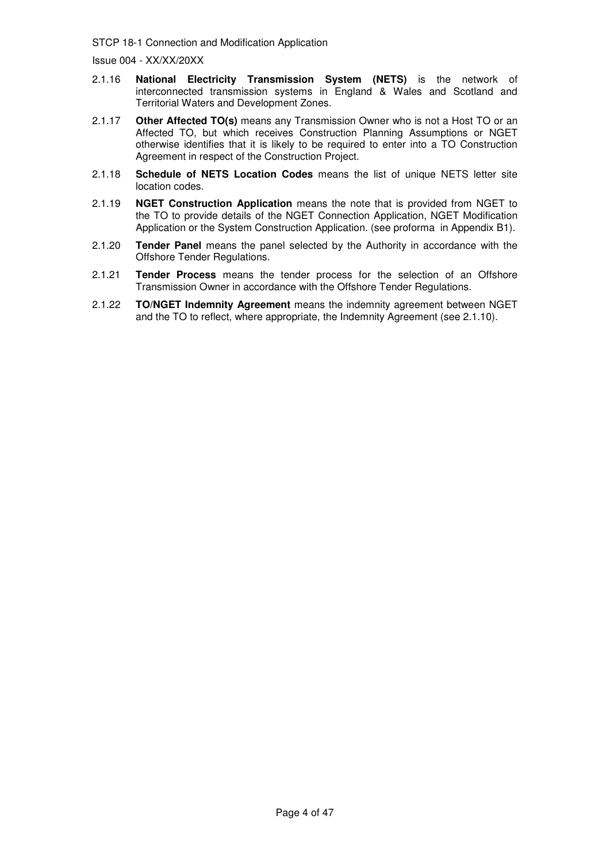- 2.1.16 **National Electricity Transmission System (NETS)** is the network of interconnected transmission systems in England & Wales and Scotland and Territorial Waters and Development Zones.
- 2.1.17 **Other Affected TO(s)** means any Transmission Owner who is not a Host TO or an Affected TO, but which receives Construction Planning Assumptions or NGET otherwise identifies that it is likely to be required to enter into a TO Construction Agreement in respect of the Construction Project.
- 2.1.18 **Schedule of NETS Location Codes** means the list of unique NETS letter site location codes.
- 2.1.19 **NGET Construction Application** means the note that is provided from NGET to the TO to provide details of the NGET Connection Application, NGET Modification Application or the System Construction Application. (see proforma in Appendix B1).
- 2.1.20 **Tender Panel** means the panel selected by the Authority in accordance with the Offshore Tender Regulations.
- 2.1.21 **Tender Process** means the tender process for the selection of an Offshore Transmission Owner in accordance with the Offshore Tender Regulations.
- 2.1.22 **TO/NGET Indemnity Agreement** means the indemnity agreement between NGET and the TO to reflect, where appropriate, the Indemnity Agreement (see 2.1.10).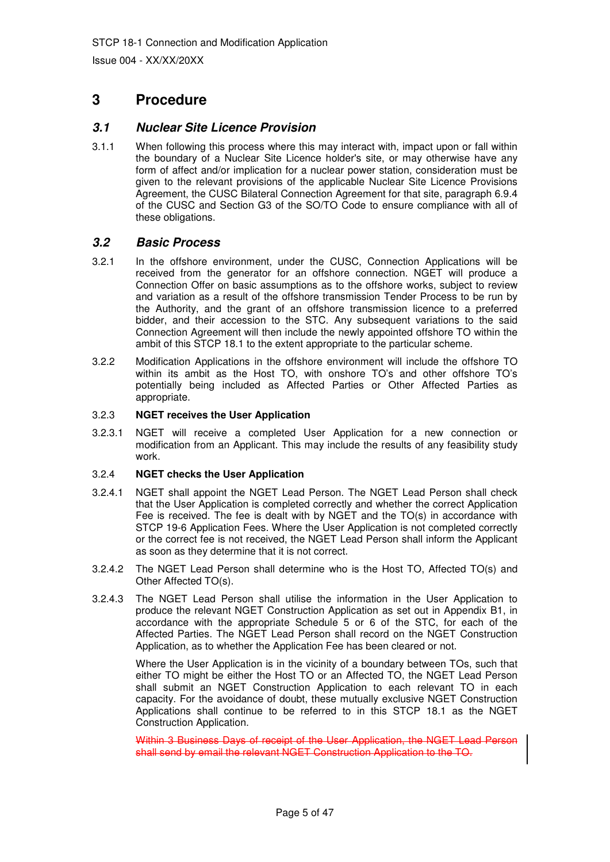## **3 Procedure**

## **3.1 Nuclear Site Licence Provision**

3.1.1 When following this process where this may interact with, impact upon or fall within the boundary of a Nuclear Site Licence holder's site, or may otherwise have any form of affect and/or implication for a nuclear power station, consideration must be given to the relevant provisions of the applicable Nuclear Site Licence Provisions Agreement, the CUSC Bilateral Connection Agreement for that site, paragraph 6.9.4 of the CUSC and Section G3 of the SO/TO Code to ensure compliance with all of these obligations.

## **3.2 Basic Process**

- 3.2.1 In the offshore environment, under the CUSC, Connection Applications will be received from the generator for an offshore connection. NGET will produce a Connection Offer on basic assumptions as to the offshore works, subject to review and variation as a result of the offshore transmission Tender Process to be run by the Authority, and the grant of an offshore transmission licence to a preferred bidder, and their accession to the STC. Any subsequent variations to the said Connection Agreement will then include the newly appointed offshore TO within the ambit of this STCP 18.1 to the extent appropriate to the particular scheme.
- 3.2.2 Modification Applications in the offshore environment will include the offshore TO within its ambit as the Host TO, with onshore TO's and other offshore TO's potentially being included as Affected Parties or Other Affected Parties as appropriate.

#### 3.2.3 **NGET receives the User Application**

3.2.3.1 NGET will receive a completed User Application for a new connection or modification from an Applicant. This may include the results of any feasibility study work.

#### 3.2.4 **NGET checks the User Application**

- 3.2.4.1 NGET shall appoint the NGET Lead Person. The NGET Lead Person shall check that the User Application is completed correctly and whether the correct Application Fee is received. The fee is dealt with by NGET and the TO(s) in accordance with STCP 19-6 Application Fees. Where the User Application is not completed correctly or the correct fee is not received, the NGET Lead Person shall inform the Applicant as soon as they determine that it is not correct.
- 3.2.4.2 The NGET Lead Person shall determine who is the Host TO, Affected TO(s) and Other Affected TO(s).
- 3.2.4.3 The NGET Lead Person shall utilise the information in the User Application to produce the relevant NGET Construction Application as set out in Appendix B1, in accordance with the appropriate Schedule 5 or 6 of the STC, for each of the Affected Parties. The NGET Lead Person shall record on the NGET Construction Application, as to whether the Application Fee has been cleared or not.

 Where the User Application is in the vicinity of a boundary between TOs, such that either TO might be either the Host TO or an Affected TO, the NGET Lead Person shall submit an NGET Construction Application to each relevant TO in each capacity. For the avoidance of doubt, these mutually exclusive NGET Construction Applications shall continue to be referred to in this STCP 18.1 as the NGET Construction Application.

Within 3 Business Days of receipt of the User Application, the NGET Lead Person shall send by email the relevant NGET Construction Application to the TO.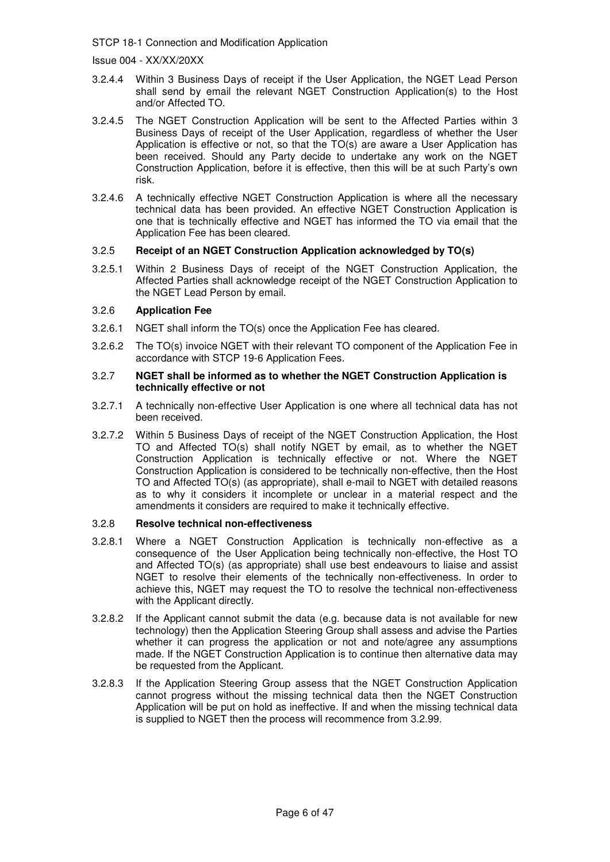Issue 004 - XX/XX/20XX

- 3.2.4.4 Within 3 Business Days of receipt if the User Application, the NGET Lead Person shall send by email the relevant NGET Construction Application(s) to the Host and/or Affected TO.
- 3.2.4.5 The NGET Construction Application will be sent to the Affected Parties within 3 Business Days of receipt of the User Application, regardless of whether the User Application is effective or not, so that the TO(s) are aware a User Application has been received. Should any Party decide to undertake any work on the NGET Construction Application, before it is effective, then this will be at such Party's own risk.
- 3.2.4.6 A technically effective NGET Construction Application is where all the necessary technical data has been provided. An effective NGET Construction Application is one that is technically effective and NGET has informed the TO via email that the Application Fee has been cleared.

#### 3.2.5 **Receipt of an NGET Construction Application acknowledged by TO(s)**

3.2.5.1 Within 2 Business Days of receipt of the NGET Construction Application, the Affected Parties shall acknowledge receipt of the NGET Construction Application to the NGET Lead Person by email.

#### 3.2.6 **Application Fee**

- 3.2.6.1 NGET shall inform the TO(s) once the Application Fee has cleared.
- 3.2.6.2 The TO(s) invoice NGET with their relevant TO component of the Application Fee in accordance with STCP 19-6 Application Fees.

#### 3.2.7 **NGET shall be informed as to whether the NGET Construction Application is technically effective or not**

- 3.2.7.1 A technically non-effective User Application is one where all technical data has not been received.
- 3.2.7.2 Within 5 Business Days of receipt of the NGET Construction Application, the Host TO and Affected TO(s) shall notify NGET by email, as to whether the NGET Construction Application is technically effective or not. Where the NGET Construction Application is considered to be technically non-effective, then the Host TO and Affected TO(s) (as appropriate), shall e-mail to NGET with detailed reasons as to why it considers it incomplete or unclear in a material respect and the amendments it considers are required to make it technically effective.

#### 3.2.8 **Resolve technical non-effectiveness**

- 3.2.8.1 Where a NGET Construction Application is technically non-effective as a consequence of the User Application being technically non-effective, the Host TO and Affected TO(s) (as appropriate) shall use best endeavours to liaise and assist NGET to resolve their elements of the technically non-effectiveness. In order to achieve this, NGET may request the TO to resolve the technical non-effectiveness with the Applicant directly.
- 3.2.8.2 If the Applicant cannot submit the data (e.g. because data is not available for new technology) then the Application Steering Group shall assess and advise the Parties whether it can progress the application or not and note/agree any assumptions made. If the NGET Construction Application is to continue then alternative data may be requested from the Applicant.
- 3.2.8.3 If the Application Steering Group assess that the NGET Construction Application cannot progress without the missing technical data then the NGET Construction Application will be put on hold as ineffective. If and when the missing technical data is supplied to NGET then the process will recommence from 3.2.99.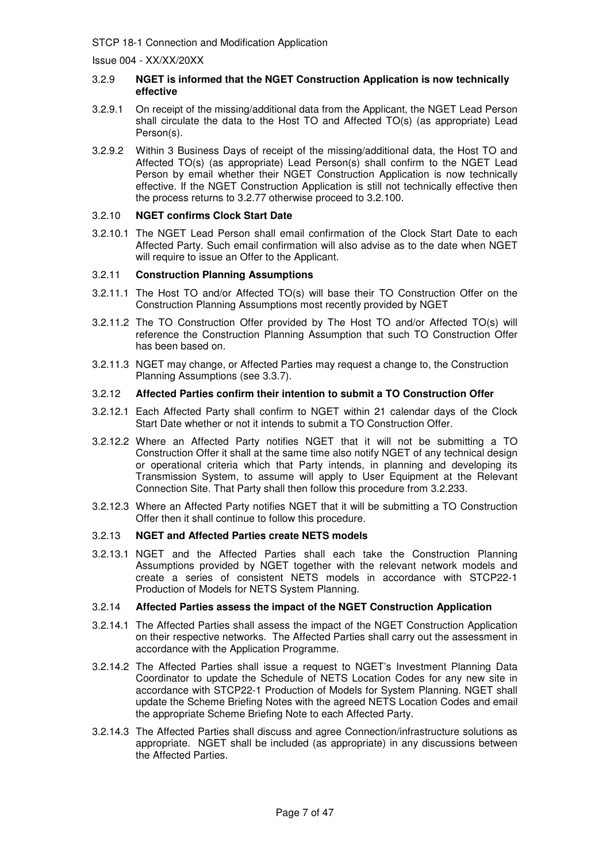Issue 004 - XX/XX/20XX

#### 3.2.9 **NGET is informed that the NGET Construction Application is now technically effective**

- 3.2.9.1 On receipt of the missing/additional data from the Applicant, the NGET Lead Person shall circulate the data to the Host TO and Affected TO(s) (as appropriate) Lead Person(s).
- 3.2.9.2 Within 3 Business Days of receipt of the missing/additional data, the Host TO and Affected TO(s) (as appropriate) Lead Person(s) shall confirm to the NGET Lead Person by email whether their NGET Construction Application is now technically effective. If the NGET Construction Application is still not technically effective then the process returns to 3.2.77 otherwise proceed to 3.2.100.

#### 3.2.10 **NGET confirms Clock Start Date**

3.2.10.1 The NGET Lead Person shall email confirmation of the Clock Start Date to each Affected Party. Such email confirmation will also advise as to the date when NGET will require to issue an Offer to the Applicant.

#### 3.2.11 **Construction Planning Assumptions**

- 3.2.11.1 The Host TO and/or Affected TO(s) will base their TO Construction Offer on the Construction Planning Assumptions most recently provided by NGET
- 3.2.11.2 The TO Construction Offer provided by The Host TO and/or Affected TO(s) will reference the Construction Planning Assumption that such TO Construction Offer has been based on.
- 3.2.11.3 NGET may change, or Affected Parties may request a change to, the Construction Planning Assumptions (see 3.3.7).

#### 3.2.12 **Affected Parties confirm their intention to submit a TO Construction Offer**

- 3.2.12.1 Each Affected Party shall confirm to NGET within 21 calendar days of the Clock Start Date whether or not it intends to submit a TO Construction Offer.
- 3.2.12.2 Where an Affected Party notifies NGET that it will not be submitting a TO Construction Offer it shall at the same time also notify NGET of any technical design or operational criteria which that Party intends, in planning and developing its Transmission System, to assume will apply to User Equipment at the Relevant Connection Site. That Party shall then follow this procedure from 3.2.233.
- 3.2.12.3 Where an Affected Party notifies NGET that it will be submitting a TO Construction Offer then it shall continue to follow this procedure.

#### 3.2.13 **NGET and Affected Parties create NETS models**

3.2.13.1 NGET and the Affected Parties shall each take the Construction Planning Assumptions provided by NGET together with the relevant network models and create a series of consistent NETS models in accordance with STCP22-1 Production of Models for NETS System Planning.

#### 3.2.14 **Affected Parties assess the impact of the NGET Construction Application**

- 3.2.14.1 The Affected Parties shall assess the impact of the NGET Construction Application on their respective networks. The Affected Parties shall carry out the assessment in accordance with the Application Programme.
- 3.2.14.2 The Affected Parties shall issue a request to NGET's Investment Planning Data Coordinator to update the Schedule of NETS Location Codes for any new site in accordance with STCP22-1 Production of Models for System Planning. NGET shall update the Scheme Briefing Notes with the agreed NETS Location Codes and email the appropriate Scheme Briefing Note to each Affected Party.
- 3.2.14.3 The Affected Parties shall discuss and agree Connection/infrastructure solutions as appropriate. NGET shall be included (as appropriate) in any discussions between the Affected Parties.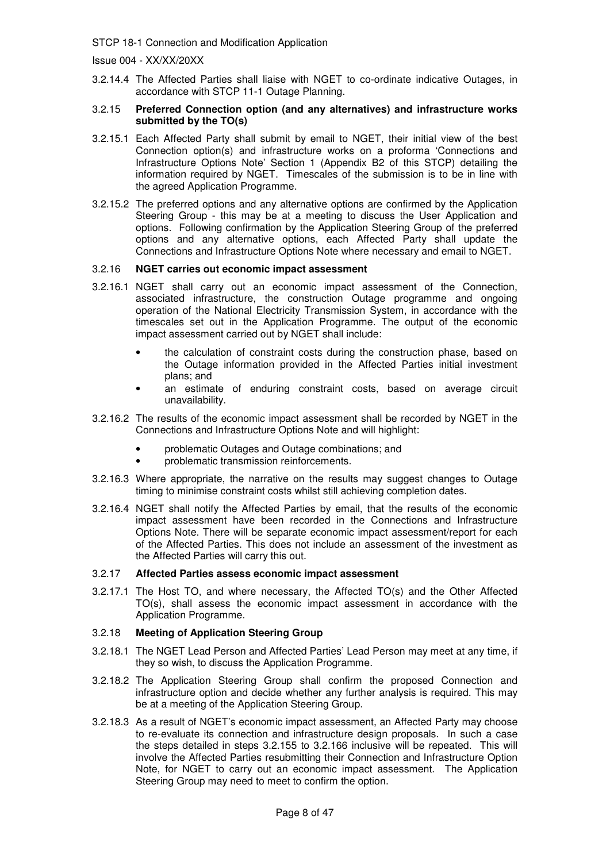Issue 004 - XX/XX/20XX

3.2.14.4 The Affected Parties shall liaise with NGET to co-ordinate indicative Outages, in accordance with STCP 11-1 Outage Planning.

#### 3.2.15 **Preferred Connection option (and any alternatives) and infrastructure works submitted by the TO(s)**

- 3.2.15.1 Each Affected Party shall submit by email to NGET, their initial view of the best Connection option(s) and infrastructure works on a proforma 'Connections and Infrastructure Options Note' Section 1 (Appendix B2 of this STCP) detailing the information required by NGET. Timescales of the submission is to be in line with the agreed Application Programme.
- 3.2.15.2 The preferred options and any alternative options are confirmed by the Application Steering Group - this may be at a meeting to discuss the User Application and options. Following confirmation by the Application Steering Group of the preferred options and any alternative options, each Affected Party shall update the Connections and Infrastructure Options Note where necessary and email to NGET.

#### 3.2.16 **NGET carries out economic impact assessment**

- 3.2.16.1 NGET shall carry out an economic impact assessment of the Connection, associated infrastructure, the construction Outage programme and ongoing operation of the National Electricity Transmission System, in accordance with the timescales set out in the Application Programme. The output of the economic impact assessment carried out by NGET shall include:
	- the calculation of constraint costs during the construction phase, based on the Outage information provided in the Affected Parties initial investment plans; and
	- an estimate of enduring constraint costs, based on average circuit unavailability.
- 3.2.16.2 The results of the economic impact assessment shall be recorded by NGET in the Connections and Infrastructure Options Note and will highlight:
	- problematic Outages and Outage combinations; and
	- problematic transmission reinforcements.
- 3.2.16.3 Where appropriate, the narrative on the results may suggest changes to Outage timing to minimise constraint costs whilst still achieving completion dates.
- 3.2.16.4 NGET shall notify the Affected Parties by email, that the results of the economic impact assessment have been recorded in the Connections and Infrastructure Options Note. There will be separate economic impact assessment/report for each of the Affected Parties. This does not include an assessment of the investment as the Affected Parties will carry this out.

#### 3.2.17 **Affected Parties assess economic impact assessment**

3.2.17.1 The Host TO, and where necessary, the Affected TO(s) and the Other Affected TO(s), shall assess the economic impact assessment in accordance with the Application Programme.

#### 3.2.18 **Meeting of Application Steering Group**

- 3.2.18.1 The NGET Lead Person and Affected Parties' Lead Person may meet at any time, if they so wish, to discuss the Application Programme.
- 3.2.18.2 The Application Steering Group shall confirm the proposed Connection and infrastructure option and decide whether any further analysis is required. This may be at a meeting of the Application Steering Group.
- 3.2.18.3 As a result of NGET's economic impact assessment, an Affected Party may choose to re-evaluate its connection and infrastructure design proposals. In such a case the steps detailed in steps 3.2.155 to 3.2.166 inclusive will be repeated. This will involve the Affected Parties resubmitting their Connection and Infrastructure Option Note, for NGET to carry out an economic impact assessment. The Application Steering Group may need to meet to confirm the option.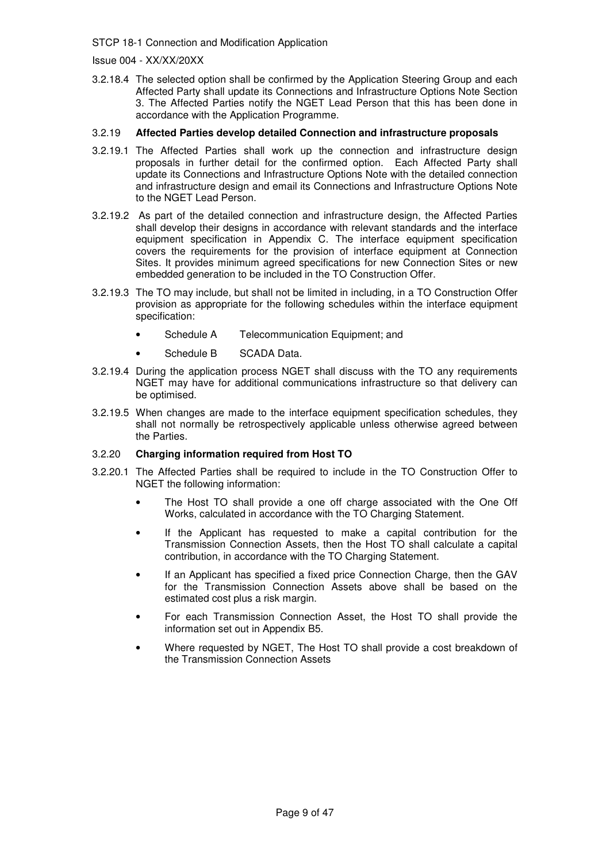Issue 004 - XX/XX/20XX

3.2.18.4 The selected option shall be confirmed by the Application Steering Group and each Affected Party shall update its Connections and Infrastructure Options Note Section 3. The Affected Parties notify the NGET Lead Person that this has been done in accordance with the Application Programme.

#### 3.2.19 **Affected Parties develop detailed Connection and infrastructure proposals**

- 3.2.19.1 The Affected Parties shall work up the connection and infrastructure design proposals in further detail for the confirmed option. Each Affected Party shall update its Connections and Infrastructure Options Note with the detailed connection and infrastructure design and email its Connections and Infrastructure Options Note to the NGET Lead Person.
- 3.2.19.2 As part of the detailed connection and infrastructure design, the Affected Parties shall develop their designs in accordance with relevant standards and the interface equipment specification in Appendix C. The interface equipment specification covers the requirements for the provision of interface equipment at Connection Sites. It provides minimum agreed specifications for new Connection Sites or new embedded generation to be included in the TO Construction Offer.
- 3.2.19.3 The TO may include, but shall not be limited in including, in a TO Construction Offer provision as appropriate for the following schedules within the interface equipment specification:
	- Schedule A Telecommunication Equipment; and
	- Schedule B SCADA Data.
- 3.2.19.4 During the application process NGET shall discuss with the TO any requirements NGET may have for additional communications infrastructure so that delivery can be optimised.
- 3.2.19.5 When changes are made to the interface equipment specification schedules, they shall not normally be retrospectively applicable unless otherwise agreed between the Parties.

#### 3.2.20 **Charging information required from Host TO**

- 3.2.20.1 The Affected Parties shall be required to include in the TO Construction Offer to NGET the following information:
	- The Host TO shall provide a one off charge associated with the One Off Works, calculated in accordance with the TO Charging Statement.
	- If the Applicant has requested to make a capital contribution for the Transmission Connection Assets, then the Host TO shall calculate a capital contribution, in accordance with the TO Charging Statement.
	- If an Applicant has specified a fixed price Connection Charge, then the GAV for the Transmission Connection Assets above shall be based on the estimated cost plus a risk margin.
	- For each Transmission Connection Asset, the Host TO shall provide the information set out in Appendix B5.
	- Where requested by NGET, The Host TO shall provide a cost breakdown of the Transmission Connection Assets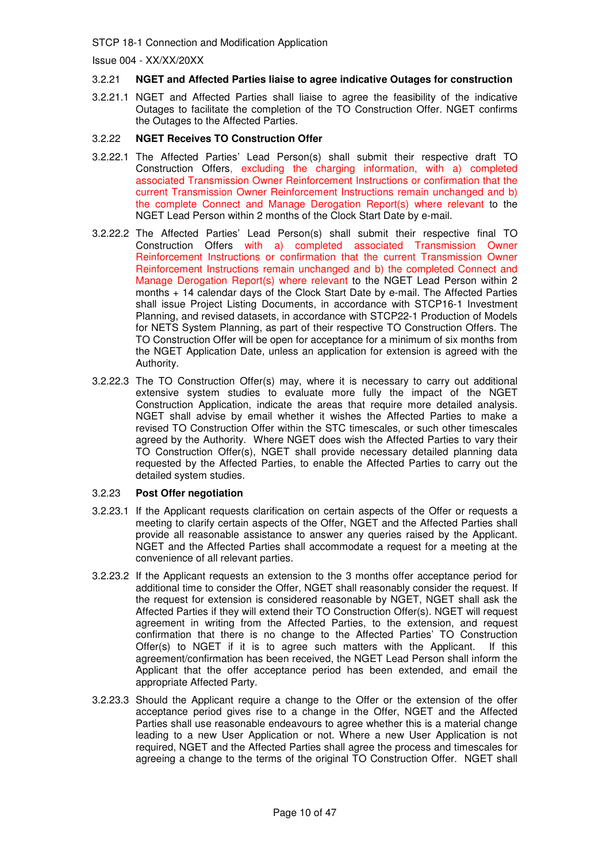Issue 004 - XX/XX/20XX

#### 3.2.21 **NGET and Affected Parties liaise to agree indicative Outages for construction**

3.2.21.1 NGET and Affected Parties shall liaise to agree the feasibility of the indicative Outages to facilitate the completion of the TO Construction Offer. NGET confirms the Outages to the Affected Parties.

#### 3.2.22 **NGET Receives TO Construction Offer**

- 3.2.22.1 The Affected Parties' Lead Person(s) shall submit their respective draft TO Construction Offers, excluding the charging information, with a) completed associated Transmission Owner Reinforcement Instructions or confirmation that the current Transmission Owner Reinforcement Instructions remain unchanged and b) the complete Connect and Manage Derogation Report(s) where relevant to the NGET Lead Person within 2 months of the Clock Start Date by e-mail.
- 3.2.22.2 The Affected Parties' Lead Person(s) shall submit their respective final TO Construction Offers with a) completed associated Transmission Owner Reinforcement Instructions or confirmation that the current Transmission Owner Reinforcement Instructions remain unchanged and b) the completed Connect and Manage Derogation Report(s) where relevant to the NGET Lead Person within 2 months + 14 calendar days of the Clock Start Date by e-mail. The Affected Parties shall issue Project Listing Documents, in accordance with STCP16-1 Investment Planning, and revised datasets, in accordance with STCP22-1 Production of Models for NETS System Planning, as part of their respective TO Construction Offers. The TO Construction Offer will be open for acceptance for a minimum of six months from the NGET Application Date, unless an application for extension is agreed with the Authority.
- 3.2.22.3 The TO Construction Offer(s) may, where it is necessary to carry out additional extensive system studies to evaluate more fully the impact of the NGET Construction Application, indicate the areas that require more detailed analysis. NGET shall advise by email whether it wishes the Affected Parties to make a revised TO Construction Offer within the STC timescales, or such other timescales agreed by the Authority. Where NGET does wish the Affected Parties to vary their TO Construction Offer(s), NGET shall provide necessary detailed planning data requested by the Affected Parties, to enable the Affected Parties to carry out the detailed system studies.

#### 3.2.23 **Post Offer negotiation**

- 3.2.23.1 If the Applicant requests clarification on certain aspects of the Offer or requests a meeting to clarify certain aspects of the Offer, NGET and the Affected Parties shall provide all reasonable assistance to answer any queries raised by the Applicant. NGET and the Affected Parties shall accommodate a request for a meeting at the convenience of all relevant parties.
- 3.2.23.2 If the Applicant requests an extension to the 3 months offer acceptance period for additional time to consider the Offer, NGET shall reasonably consider the request. If the request for extension is considered reasonable by NGET, NGET shall ask the Affected Parties if they will extend their TO Construction Offer(s). NGET will request agreement in writing from the Affected Parties, to the extension, and request confirmation that there is no change to the Affected Parties' TO Construction Offer(s) to NGET if it is to agree such matters with the Applicant. If this agreement/confirmation has been received, the NGET Lead Person shall inform the Applicant that the offer acceptance period has been extended, and email the appropriate Affected Party.
- 3.2.23.3 Should the Applicant require a change to the Offer or the extension of the offer acceptance period gives rise to a change in the Offer, NGET and the Affected Parties shall use reasonable endeavours to agree whether this is a material change leading to a new User Application or not. Where a new User Application is not required, NGET and the Affected Parties shall agree the process and timescales for agreeing a change to the terms of the original TO Construction Offer. NGET shall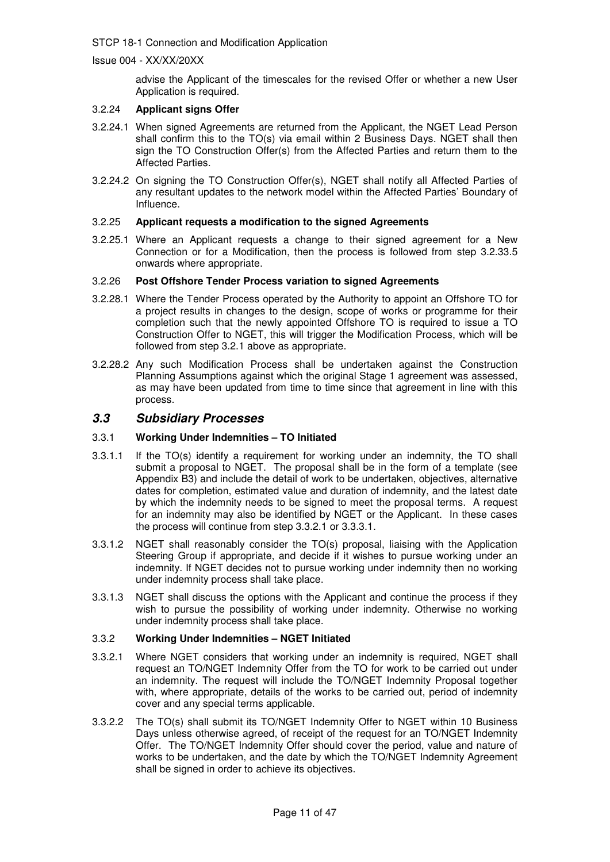Issue 004 - XX/XX/20XX

advise the Applicant of the timescales for the revised Offer or whether a new User Application is required.

#### 3.2.24 **Applicant signs Offer**

- 3.2.24.1 When signed Agreements are returned from the Applicant, the NGET Lead Person shall confirm this to the TO(s) via email within 2 Business Days. NGET shall then sign the TO Construction Offer(s) from the Affected Parties and return them to the Affected Parties.
- 3.2.24.2 On signing the TO Construction Offer(s), NGET shall notify all Affected Parties of any resultant updates to the network model within the Affected Parties' Boundary of Influence.

#### 3.2.25 **Applicant requests a modification to the signed Agreements**

3.2.25.1 Where an Applicant requests a change to their signed agreement for a New Connection or for a Modification, then the process is followed from step 3.2.33.5 onwards where appropriate.

#### 3.2.26 **Post Offshore Tender Process variation to signed Agreements**

- 3.2.28.1 Where the Tender Process operated by the Authority to appoint an Offshore TO for a project results in changes to the design, scope of works or programme for their completion such that the newly appointed Offshore TO is required to issue a TO Construction Offer to NGET, this will trigger the Modification Process, which will be followed from step 3.2.1 above as appropriate.
- 3.2.28.2 Any such Modification Process shall be undertaken against the Construction Planning Assumptions against which the original Stage 1 agreement was assessed, as may have been updated from time to time since that agreement in line with this process.

## **3.3 Subsidiary Processes**

#### 3.3.1 **Working Under Indemnities – TO Initiated**

- 3.3.1.1 If the TO(s) identify a requirement for working under an indemnity, the TO shall submit a proposal to NGET. The proposal shall be in the form of a template (see Appendix B3) and include the detail of work to be undertaken, objectives, alternative dates for completion, estimated value and duration of indemnity, and the latest date by which the indemnity needs to be signed to meet the proposal terms. A request for an indemnity may also be identified by NGET or the Applicant. In these cases the process will continue from step 3.3.2.1 or 3.3.3.1.
- 3.3.1.2 NGET shall reasonably consider the TO(s) proposal, liaising with the Application Steering Group if appropriate, and decide if it wishes to pursue working under an indemnity. If NGET decides not to pursue working under indemnity then no working under indemnity process shall take place.
- 3.3.1.3 NGET shall discuss the options with the Applicant and continue the process if they wish to pursue the possibility of working under indemnity. Otherwise no working under indemnity process shall take place.

#### 3.3.2 **Working Under Indemnities – NGET Initiated**

- 3.3.2.1 Where NGET considers that working under an indemnity is required, NGET shall request an TO/NGET Indemnity Offer from the TO for work to be carried out under an indemnity. The request will include the TO/NGET Indemnity Proposal together with, where appropriate, details of the works to be carried out, period of indemnity cover and any special terms applicable.
- 3.3.2.2 The TO(s) shall submit its TO/NGET Indemnity Offer to NGET within 10 Business Days unless otherwise agreed, of receipt of the request for an TO/NGET Indemnity Offer. The TO/NGET Indemnity Offer should cover the period, value and nature of works to be undertaken, and the date by which the TO/NGET Indemnity Agreement shall be signed in order to achieve its objectives.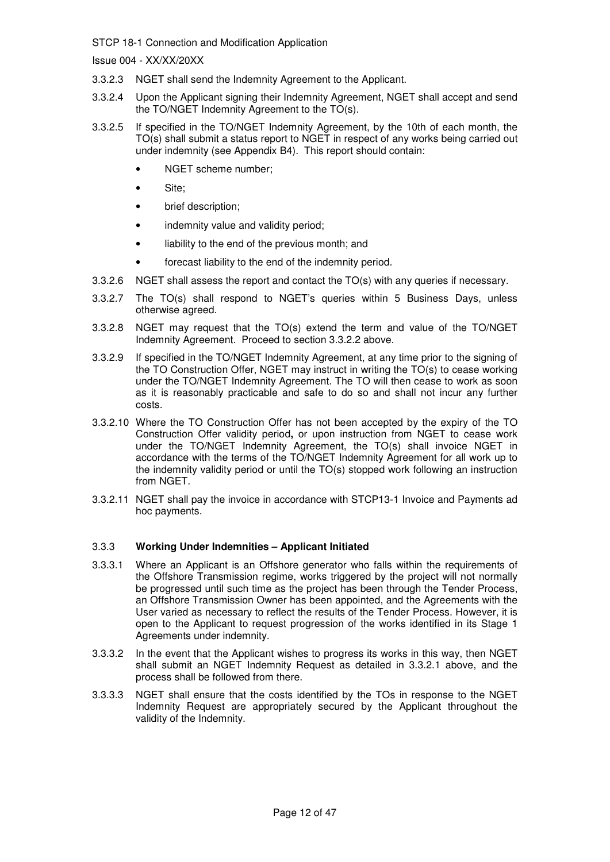Issue 004 - XX/XX/20XX

- 3.3.2.3 NGET shall send the Indemnity Agreement to the Applicant.
- 3.3.2.4 Upon the Applicant signing their Indemnity Agreement, NGET shall accept and send the TO/NGET Indemnity Agreement to the TO(s).
- 3.3.2.5 If specified in the TO/NGET Indemnity Agreement, by the 10th of each month, the TO(s) shall submit a status report to NGET in respect of any works being carried out under indemnity (see Appendix B4). This report should contain:
	- NGET scheme number:
	- Site;
	- brief description;
	- indemnity value and validity period;
	- liability to the end of the previous month; and
	- forecast liability to the end of the indemnity period.
- 3.3.2.6 NGET shall assess the report and contact the TO(s) with any queries if necessary.
- 3.3.2.7 The TO(s) shall respond to NGET's queries within 5 Business Days, unless otherwise agreed.
- 3.3.2.8 NGET may request that the TO(s) extend the term and value of the TO/NGET Indemnity Agreement. Proceed to section 3.3.2.2 above.
- 3.3.2.9 If specified in the TO/NGET Indemnity Agreement, at any time prior to the signing of the TO Construction Offer, NGET may instruct in writing the TO(s) to cease working under the TO/NGET Indemnity Agreement. The TO will then cease to work as soon as it is reasonably practicable and safe to do so and shall not incur any further costs.
- 3.3.2.10 Where the TO Construction Offer has not been accepted by the expiry of the TO Construction Offer validity period**,** or upon instruction from NGET to cease work under the TO/NGET Indemnity Agreement, the TO(s) shall invoice NGET in accordance with the terms of the TO/NGET Indemnity Agreement for all work up to the indemnity validity period or until the TO(s) stopped work following an instruction from NGET.
- 3.3.2.11 NGET shall pay the invoice in accordance with STCP13-1 Invoice and Payments ad hoc payments.

#### 3.3.3 **Working Under Indemnities – Applicant Initiated**

- 3.3.3.1 Where an Applicant is an Offshore generator who falls within the requirements of the Offshore Transmission regime, works triggered by the project will not normally be progressed until such time as the project has been through the Tender Process, an Offshore Transmission Owner has been appointed, and the Agreements with the User varied as necessary to reflect the results of the Tender Process. However, it is open to the Applicant to request progression of the works identified in its Stage 1 Agreements under indemnity.
- 3.3.3.2 In the event that the Applicant wishes to progress its works in this way, then NGET shall submit an NGET Indemnity Request as detailed in 3.3.2.1 above, and the process shall be followed from there.
- 3.3.3.3 NGET shall ensure that the costs identified by the TOs in response to the NGET Indemnity Request are appropriately secured by the Applicant throughout the validity of the Indemnity.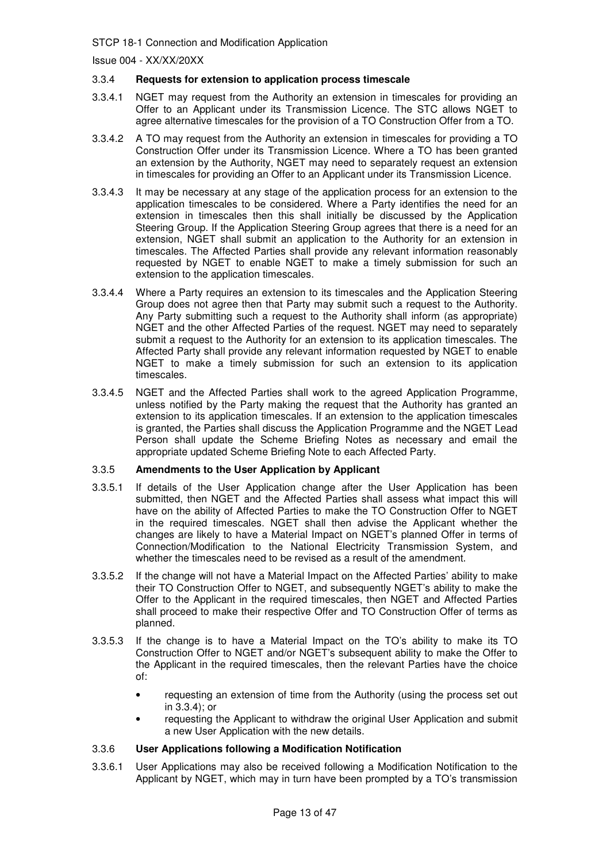Issue 004 - XX/XX/20XX

#### 3.3.4 **Requests for extension to application process timescale**

- 3.3.4.1 NGET may request from the Authority an extension in timescales for providing an Offer to an Applicant under its Transmission Licence. The STC allows NGET to agree alternative timescales for the provision of a TO Construction Offer from a TO.
- 3.3.4.2 A TO may request from the Authority an extension in timescales for providing a TO Construction Offer under its Transmission Licence. Where a TO has been granted an extension by the Authority, NGET may need to separately request an extension in timescales for providing an Offer to an Applicant under its Transmission Licence.
- 3.3.4.3 It may be necessary at any stage of the application process for an extension to the application timescales to be considered. Where a Party identifies the need for an extension in timescales then this shall initially be discussed by the Application Steering Group. If the Application Steering Group agrees that there is a need for an extension, NGET shall submit an application to the Authority for an extension in timescales. The Affected Parties shall provide any relevant information reasonably requested by NGET to enable NGET to make a timely submission for such an extension to the application timescales.
- 3.3.4.4 Where a Party requires an extension to its timescales and the Application Steering Group does not agree then that Party may submit such a request to the Authority. Any Party submitting such a request to the Authority shall inform (as appropriate) NGET and the other Affected Parties of the request. NGET may need to separately submit a request to the Authority for an extension to its application timescales. The Affected Party shall provide any relevant information requested by NGET to enable NGET to make a timely submission for such an extension to its application timescales.
- 3.3.4.5 NGET and the Affected Parties shall work to the agreed Application Programme, unless notified by the Party making the request that the Authority has granted an extension to its application timescales. If an extension to the application timescales is granted, the Parties shall discuss the Application Programme and the NGET Lead Person shall update the Scheme Briefing Notes as necessary and email the appropriate updated Scheme Briefing Note to each Affected Party.

#### 3.3.5 **Amendments to the User Application by Applicant**

- 3.3.5.1 If details of the User Application change after the User Application has been submitted, then NGET and the Affected Parties shall assess what impact this will have on the ability of Affected Parties to make the TO Construction Offer to NGET in the required timescales. NGET shall then advise the Applicant whether the changes are likely to have a Material Impact on NGET's planned Offer in terms of Connection/Modification to the National Electricity Transmission System, and whether the timescales need to be revised as a result of the amendment.
- 3.3.5.2 If the change will not have a Material Impact on the Affected Parties' ability to make their TO Construction Offer to NGET, and subsequently NGET's ability to make the Offer to the Applicant in the required timescales, then NGET and Affected Parties shall proceed to make their respective Offer and TO Construction Offer of terms as planned.
- 3.3.5.3 If the change is to have a Material Impact on the TO's ability to make its TO Construction Offer to NGET and/or NGET's subsequent ability to make the Offer to the Applicant in the required timescales, then the relevant Parties have the choice of:
	- requesting an extension of time from the Authority (using the process set out in 3.3.4); or
	- requesting the Applicant to withdraw the original User Application and submit a new User Application with the new details.

#### 3.3.6 **User Applications following a Modification Notification**

3.3.6.1 User Applications may also be received following a Modification Notification to the Applicant by NGET, which may in turn have been prompted by a TO's transmission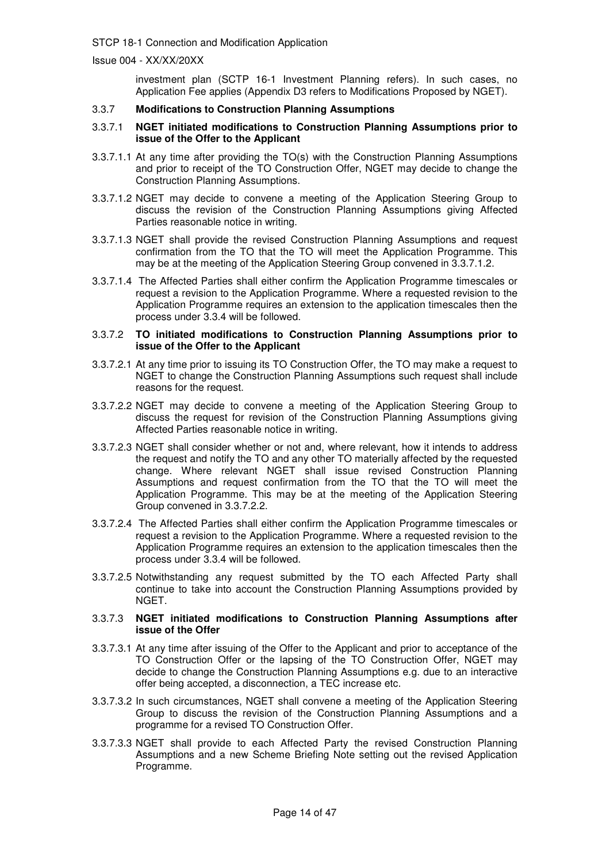Issue 004 - XX/XX/20XX

investment plan (SCTP 16-1 Investment Planning refers). In such cases, no Application Fee applies (Appendix D3 refers to Modifications Proposed by NGET).

#### 3.3.7 **Modifications to Construction Planning Assumptions**

#### 3.3.7.1 **NGET initiated modifications to Construction Planning Assumptions prior to issue of the Offer to the Applicant**

- 3.3.7.1.1 At any time after providing the TO(s) with the Construction Planning Assumptions and prior to receipt of the TO Construction Offer, NGET may decide to change the Construction Planning Assumptions.
- 3.3.7.1.2 NGET may decide to convene a meeting of the Application Steering Group to discuss the revision of the Construction Planning Assumptions giving Affected Parties reasonable notice in writing.
- 3.3.7.1.3 NGET shall provide the revised Construction Planning Assumptions and request confirmation from the TO that the TO will meet the Application Programme. This may be at the meeting of the Application Steering Group convened in 3.3.7.1.2.
- 3.3.7.1.4 The Affected Parties shall either confirm the Application Programme timescales or request a revision to the Application Programme. Where a requested revision to the Application Programme requires an extension to the application timescales then the process under 3.3.4 will be followed.

#### 3.3.7.2 **TO initiated modifications to Construction Planning Assumptions prior to issue of the Offer to the Applicant**

- 3.3.7.2.1 At any time prior to issuing its TO Construction Offer, the TO may make a request to NGET to change the Construction Planning Assumptions such request shall include reasons for the request.
- 3.3.7.2.2 NGET may decide to convene a meeting of the Application Steering Group to discuss the request for revision of the Construction Planning Assumptions giving Affected Parties reasonable notice in writing.
- 3.3.7.2.3 NGET shall consider whether or not and, where relevant, how it intends to address the request and notify the TO and any other TO materially affected by the requested change. Where relevant NGET shall issue revised Construction Planning Assumptions and request confirmation from the TO that the TO will meet the Application Programme. This may be at the meeting of the Application Steering Group convened in 3.3.7.2.2.
- 3.3.7.2.4 The Affected Parties shall either confirm the Application Programme timescales or request a revision to the Application Programme. Where a requested revision to the Application Programme requires an extension to the application timescales then the process under 3.3.4 will be followed.
- 3.3.7.2.5 Notwithstanding any request submitted by the TO each Affected Party shall continue to take into account the Construction Planning Assumptions provided by NGET.

#### 3.3.7.3 **NGET initiated modifications to Construction Planning Assumptions after issue of the Offer**

- 3.3.7.3.1 At any time after issuing of the Offer to the Applicant and prior to acceptance of the TO Construction Offer or the lapsing of the TO Construction Offer, NGET may decide to change the Construction Planning Assumptions e.g. due to an interactive offer being accepted, a disconnection, a TEC increase etc.
- 3.3.7.3.2 In such circumstances, NGET shall convene a meeting of the Application Steering Group to discuss the revision of the Construction Planning Assumptions and a programme for a revised TO Construction Offer.
- 3.3.7.3.3 NGET shall provide to each Affected Party the revised Construction Planning Assumptions and a new Scheme Briefing Note setting out the revised Application Programme.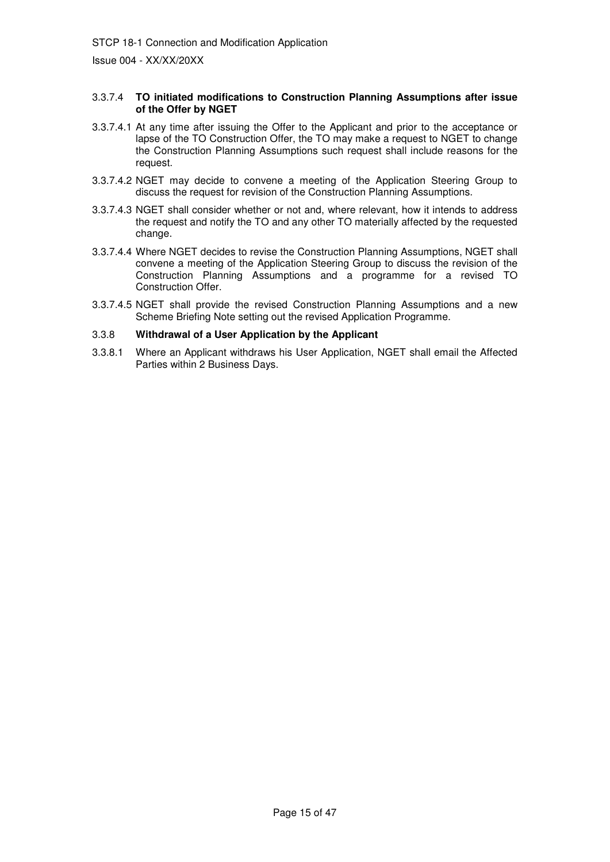Issue 004 - XX/XX/20XX

#### 3.3.7.4 **TO initiated modifications to Construction Planning Assumptions after issue of the Offer by NGET**

- 3.3.7.4.1 At any time after issuing the Offer to the Applicant and prior to the acceptance or lapse of the TO Construction Offer, the TO may make a request to NGET to change the Construction Planning Assumptions such request shall include reasons for the request.
- 3.3.7.4.2 NGET may decide to convene a meeting of the Application Steering Group to discuss the request for revision of the Construction Planning Assumptions.
- 3.3.7.4.3 NGET shall consider whether or not and, where relevant, how it intends to address the request and notify the TO and any other TO materially affected by the requested change.
- 3.3.7.4.4 Where NGET decides to revise the Construction Planning Assumptions, NGET shall convene a meeting of the Application Steering Group to discuss the revision of the Construction Planning Assumptions and a programme for a revised TO Construction Offer.
- 3.3.7.4.5 NGET shall provide the revised Construction Planning Assumptions and a new Scheme Briefing Note setting out the revised Application Programme.

#### 3.3.8 **Withdrawal of a User Application by the Applicant**

3.3.8.1 Where an Applicant withdraws his User Application, NGET shall email the Affected Parties within 2 Business Days.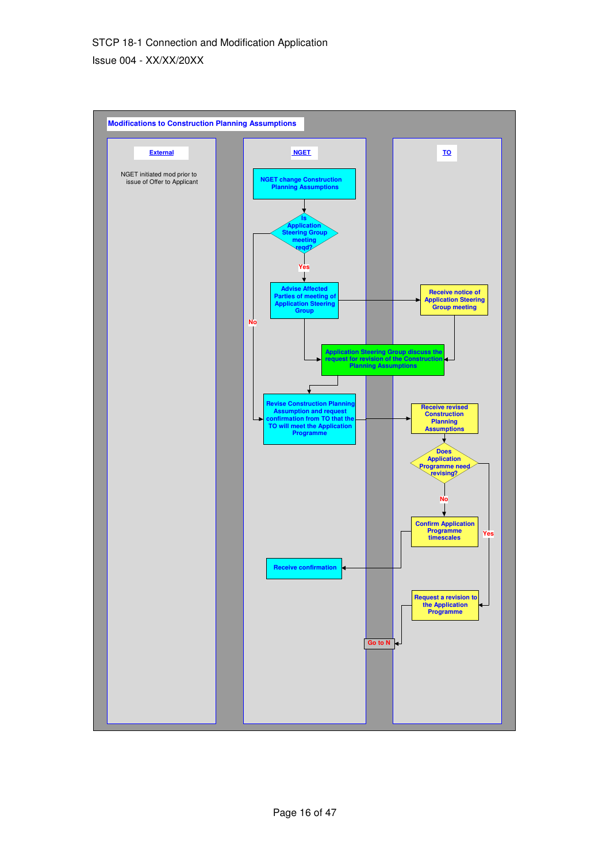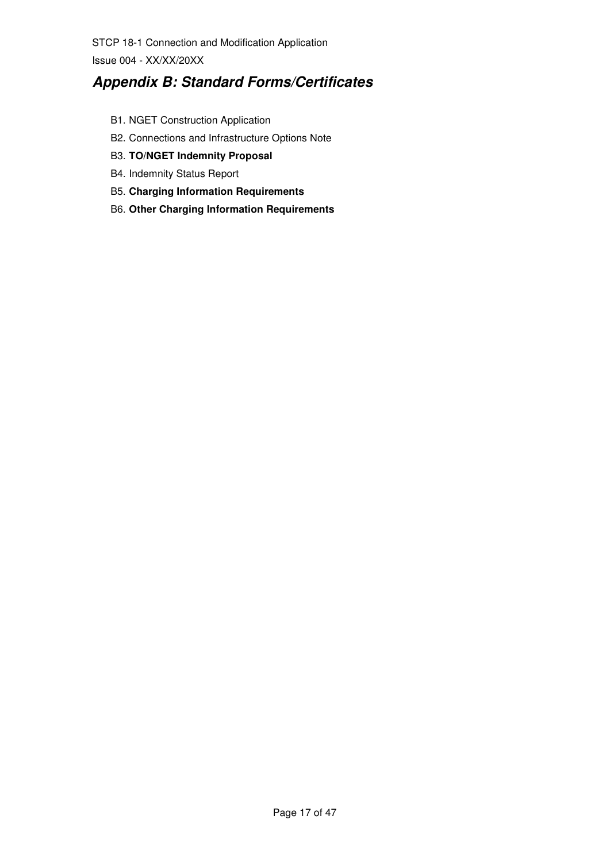Issue 004 - XX/XX/20XX

# **Appendix B: Standard Forms/Certificates**

- B1. NGET Construction Application
- B2. Connections and Infrastructure Options Note
- B3. **TO/NGET Indemnity Proposal**
- B4. Indemnity Status Report
- B5. **Charging Information Requirements**
- B6. **Other Charging Information Requirements**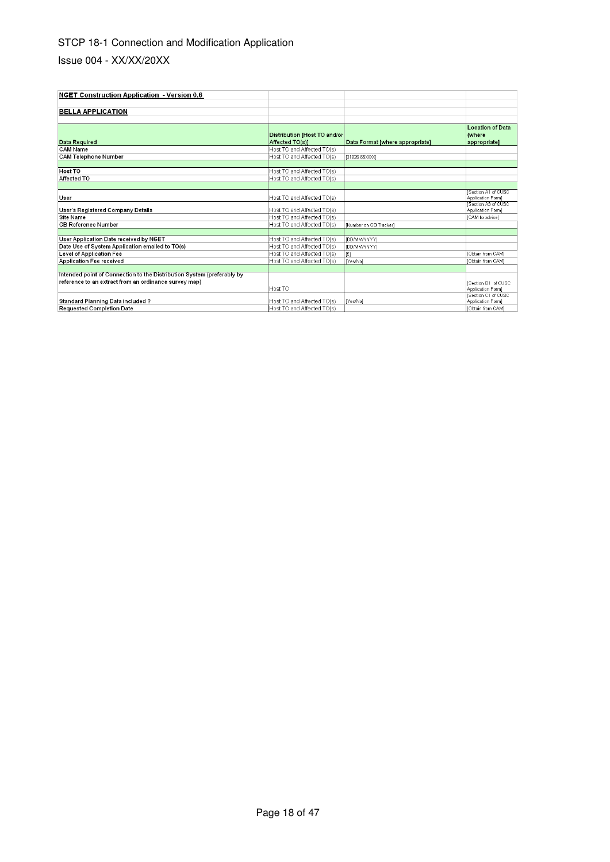| <b>NGET Construction Application - Version 0.6</b>                     |                                                 |                                 |                                                   |
|------------------------------------------------------------------------|-------------------------------------------------|---------------------------------|---------------------------------------------------|
|                                                                        |                                                 |                                 |                                                   |
| <b>BELLA APPLICATION</b>                                               |                                                 |                                 |                                                   |
|                                                                        |                                                 |                                 |                                                   |
| Data Required                                                          | Distribution [Host TO and/or<br>Affected TO(s)] | Data Format [where appropriate] | <b>Location of Data</b><br>(where<br>appropriate] |
| <b>CAM Name</b>                                                        | Host TO and Affected TO(s)                      |                                 |                                                   |
| <b>CAM Telephone Number</b>                                            | Host TO and Affected TO(s)                      | 101926 65XXXX1                  |                                                   |
|                                                                        |                                                 |                                 |                                                   |
| Host TO                                                                | Host TO and Affected TO(s)                      |                                 |                                                   |
| Affected TO                                                            | Host TO and Affected TO(s)                      |                                 |                                                   |
|                                                                        |                                                 |                                 |                                                   |
| User                                                                   | Host TO and Affected TO(s)                      |                                 | Section A1 of CUSC<br>Application Form]           |
| User's Registered Company Details                                      | Host TO and Affected TO(s)                      |                                 | Section A3 of CUSC<br>Application Form]           |
| Site Name                                                              | Host TO and Affected TO(s)                      |                                 | [CAM to advise]                                   |
| <b>GB Reference Number</b>                                             | Host TO and Affected TO(s)                      | [Number on GB Tracker]          |                                                   |
|                                                                        |                                                 |                                 |                                                   |
| User Application Date received by NGET                                 | Host TO and Affected TO(s)                      | [DD/MM/YYYY]                    |                                                   |
| Date Use of System Application emailed to TO(s)                        | Host TO and Affected TO(s)                      | [DD/MM/YYYY]                    |                                                   |
| Level of Application Fee                                               | Host TO and Affected TO(s)                      | $ \hat{x} $                     | [Obtain from CAM]                                 |
| Application Fee received                                               | Host TO and Affected TO(s)                      | [Yes/No]                        | [Obtain from CAM]                                 |
|                                                                        |                                                 |                                 |                                                   |
| Intended point of Connection to the Distribution System (preferably by |                                                 |                                 |                                                   |
| reference to an extract from an ordinance survey map)                  | Host TO                                         |                                 | ISection B1 of CUSC<br>Application Form]          |
| Standard Planning Data included ?                                      | Host TO and Affected TO(s)                      | [Yes/No]                        | Section C1 of CUSC<br>Application Form]           |
| <b>Requested Completion Date</b>                                       | Host TO and Affected TO(s)                      |                                 | IObtain from CAM]                                 |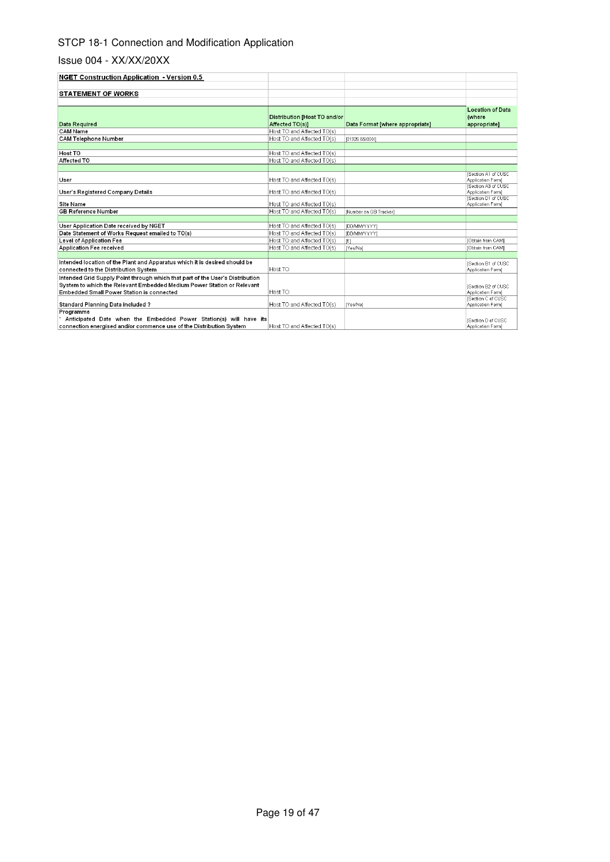| <b>NGET Construction Application - Version 0.5</b>                                                                                                    |                                                 |                                 |                                                                              |
|-------------------------------------------------------------------------------------------------------------------------------------------------------|-------------------------------------------------|---------------------------------|------------------------------------------------------------------------------|
|                                                                                                                                                       |                                                 |                                 |                                                                              |
| <b>STATEMENT OF WORKS</b>                                                                                                                             |                                                 |                                 |                                                                              |
| Data Required                                                                                                                                         | Distribution [Host TO and/or<br>Affected TO(s)] | Data Format Iwhere appropriate] | <b>Location of Data</b><br>(where<br>appropriate]                            |
| CAM Name                                                                                                                                              | Host TO and Affected TO(s)                      |                                 |                                                                              |
| <b>CAM Telephone Number</b>                                                                                                                           | Host TO and Affected TO(s)                      | [01926 65XXX]                   |                                                                              |
|                                                                                                                                                       |                                                 |                                 |                                                                              |
| Host TO                                                                                                                                               | Host TO and Affected TO(s)                      |                                 |                                                                              |
| Affected TO                                                                                                                                           | Host TO and Affected TO(s)                      |                                 |                                                                              |
|                                                                                                                                                       |                                                 |                                 | <b>ISection A1 of CUSC</b>                                                   |
| User                                                                                                                                                  | Host TO and Affected TO(s)                      |                                 | Application Form]                                                            |
| User's Registered Company Details                                                                                                                     | Host TO and Affected TO(s)                      |                                 | <b>Section A3 of CUSC</b><br>Application Form]<br><b>ISection D1 of CUSC</b> |
| Site Name                                                                                                                                             | Host TO and Affected TO(s)                      |                                 | Application Form]                                                            |
| <b>GB Reference Number</b>                                                                                                                            | Host TO and Affected TO(s)                      | INumber on GB Trackerl          |                                                                              |
|                                                                                                                                                       |                                                 |                                 |                                                                              |
| User Application Date received by NGET                                                                                                                | Host TO and Affected TO(s)                      | [DD/MM/YYYY]                    |                                                                              |
| Date Statement of Works Request emailed to TO(s)                                                                                                      | Host TO and Affected TO(s)                      | [DD/MM/YYYY]                    |                                                                              |
| Level of Application Fee                                                                                                                              | Host TO and Affected TO(s)                      | [£]                             | [Obtain from CAM]                                                            |
| <b>Application Fee received</b>                                                                                                                       | Host TO and Affected TO(s)                      | IYes/Nol                        | [Obtain from CAM]                                                            |
|                                                                                                                                                       |                                                 |                                 |                                                                              |
| Intended location of the Plant and Apparatus which it is desired should be<br>connected to the Distribution System                                    | Host TO                                         |                                 | <b>ISection B1 of CUSC</b><br>Application Form1                              |
| Intended Grid Supply Point through which that part of the User's Distribution                                                                         |                                                 |                                 |                                                                              |
| System to which the Relevant Embedded Medium Power Station or Relevant                                                                                |                                                 |                                 | <b>ISection B2 of CUSC</b>                                                   |
| Embedded Small Power Station is connected                                                                                                             | Host TO                                         |                                 | Application Form]                                                            |
| Standard Planning Data included ?                                                                                                                     | Host TO and Affected TO(s)                      | [Yes/No]                        | Section C of CUSC<br>Application Form]                                       |
| Programme<br>Anticipated Date when the Embedded Power Station(s) will have its<br>connection energised and/or commence use of the Distribution System | Host TO and Affected TO(s)                      |                                 | <b>ISection D of CUSC</b><br>Application Form)                               |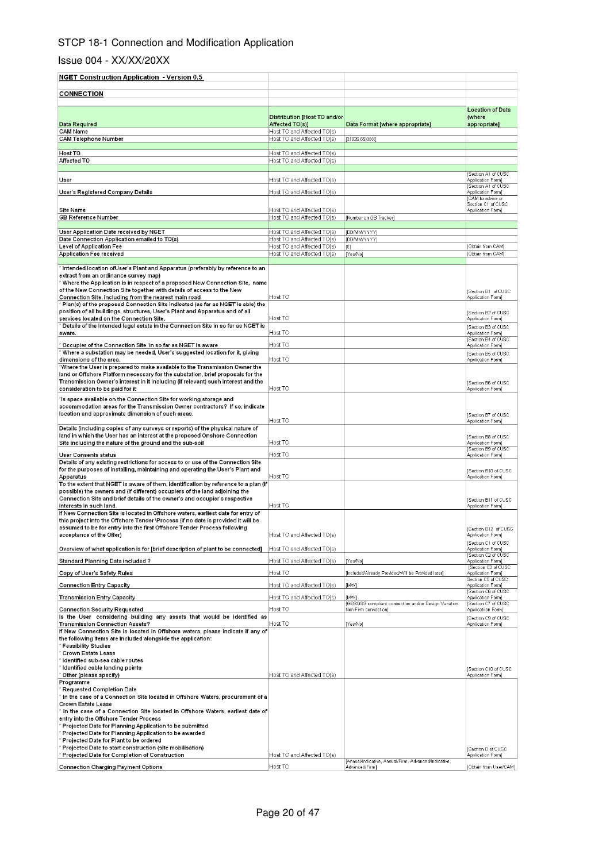| <b>NGET Construction Application - Version 0.5</b>                                                                                             |                                                          |                                                                              |                                                   |
|------------------------------------------------------------------------------------------------------------------------------------------------|----------------------------------------------------------|------------------------------------------------------------------------------|---------------------------------------------------|
| <b>CONNECTION</b>                                                                                                                              |                                                          |                                                                              |                                                   |
|                                                                                                                                                |                                                          |                                                                              |                                                   |
| Data Required                                                                                                                                  | Distribution [Host TO and/or<br>Affected TO(s)]          | Data Format [where appropriate]                                              | <b>Location of Data</b><br>(where<br>appropriate] |
| CAM Name<br><b>CAM Telephone Number</b>                                                                                                        | Host TO and Affected TO(s)<br>Host TO and Affected TO(s) | (01926 65XXX)                                                                |                                                   |
|                                                                                                                                                |                                                          |                                                                              |                                                   |
| Host TO<br>Affected TO                                                                                                                         | Host TO and Affected TO(s)<br>Host TO and Affected TO(s) |                                                                              |                                                   |
|                                                                                                                                                |                                                          |                                                                              |                                                   |
| User                                                                                                                                           | Host TO and Affected TO(s)                               |                                                                              | <b>Section A1 of CUSC</b><br>Application Form)    |
|                                                                                                                                                | Host TO and Affected TO(s)                               |                                                                              | Section A1 of CUSC<br>Application Form]           |
| User's Registered Company Details                                                                                                              |                                                          |                                                                              | [CAM to advise or                                 |
| <b>Site Name</b>                                                                                                                               | Host TO and Affected TO(s)                               |                                                                              | Section C1 of CUSC<br>Application Form]           |
| GB Reference Number                                                                                                                            | Host TO and Affected TO(s)                               | [Number on GB Tracker]                                                       |                                                   |
| User Application Date received by NGET                                                                                                         | Host TO and Affected TO(s)                               | [DD/MM/YYYY]                                                                 |                                                   |
| Date Connection Application emailed to TO(s)                                                                                                   | Host TO and Affected TO(s)                               | [DD/MM/YYYY]                                                                 |                                                   |
| Level of Application Fee<br>Application Fee received                                                                                           | Host TO and Affected TO(s)<br>Host TO and Affected TO(s) | [£]<br>[Yes/No]                                                              | [Obtain from CAM]<br>[Obtain from CAM]            |
|                                                                                                                                                |                                                          |                                                                              |                                                   |
| ˈ Intended location ofUser's Plant and Apparatus (preferably by reference to an<br>extract from an ordinance survey map)                       |                                                          |                                                                              |                                                   |
| ' Where the Application is in respect of a proposed New Connection Site,  name                                                                 |                                                          |                                                                              |                                                   |
| of the New Connection Site together with details of access to the New                                                                          |                                                          |                                                                              | [Section B1 of CUSC                               |
| Connection Site, including from the nearest main road<br>Man(s) of the proposed Connection Site indicated (as far as NGET is able) the '       | Host TO                                                  |                                                                              | Application Form]                                 |
| position of all buildings, structures, User's Plant and Apparatus and of all                                                                   |                                                          |                                                                              | [Section B2 of CUSC                               |
| services located on the Connection Site.<br>˚ Details of the intended legal estate in the Connection Site in so far as NGET is                 | Host TO                                                  |                                                                              | Application Form]                                 |
| aware.                                                                                                                                         | Host TO                                                  |                                                                              | Section B3 of CUSC<br>Application Form)           |
| Cocupier of the Connection Site in so far as NGET is aware *                                                                                   | Host TO                                                  |                                                                              | [Section B4 of CUSC<br>Application Form]          |
| ' Where a substation may be needed, User's suggested location for it, giving                                                                   |                                                          |                                                                              | Section B5 of CUSC                                |
| dimensions of the area.<br>'Where the User is prepared to make available to the Transmission Owner the                                         | Host TO                                                  |                                                                              | Application Form]                                 |
| land or Offshore Platform necessary for the substation, brief proposals for the                                                                |                                                          |                                                                              |                                                   |
| Transmission Owner's interest in it including (if relevant) such interest and the                                                              | Host TO                                                  |                                                                              | [Section B6 of CUSC<br>Application Form)          |
| consideration to be paid for it<br>'Is space available on the Connection Site for working storage and                                          |                                                          |                                                                              |                                                   |
| accommodation areas for the Transmission Owner contractors? If so, indicate                                                                    |                                                          |                                                                              |                                                   |
| location and approximate dimension of such areas.                                                                                              | Host TO                                                  |                                                                              | [Section B7 of CUSC<br>Application Form)          |
| Details (including copies of any surveys or reports) of the physical nature of                                                                 |                                                          |                                                                              |                                                   |
| land in which the User has an interest at the proposed Onshore Connection                                                                      |                                                          |                                                                              | [Section BB of CUSC                               |
| Site including the nature of the ground and the sub-soil                                                                                       | Host TO                                                  |                                                                              | Application Form]<br>Section B9 of CUSC           |
| User Consents status<br>Details of any existing restrictions for access to or use of the Connection Site                                       | Host TO                                                  |                                                                              | Application Form)                                 |
| for the purposes of installing, maintaining and operating the User's Plant and                                                                 |                                                          |                                                                              | Section B10 of CUSC                               |
| Apparatus<br>To the extent that NGET is aware of them, identification by reference to a plan (if                                               | Host TO                                                  |                                                                              | Application Form]                                 |
| possible) the owners and (if different) occupiers of the land adjoining the                                                                    |                                                          |                                                                              |                                                   |
| Connection Site and brief details of the owner's and occupier's respective                                                                     |                                                          |                                                                              | [Section B11 of CUSC                              |
| interests in such land.<br>If New Connection Site is located in Offshore waters, earliest date for entry of                                    | Host TO                                                  |                                                                              | Application Form]                                 |
| this project into the Offshore Tender \Process (if no date is provided it will be                                                              |                                                          |                                                                              |                                                   |
| assumed to be for entry into the first Offshore Tender Process following<br>acceptance of the Offer)                                           | Host TO and Affected TO(s)                               |                                                                              | [Section B12 of CUSC<br>Application Form]         |
|                                                                                                                                                |                                                          |                                                                              | [Section C1 of CUSC                               |
| Overview of what application is for [brief description of plant to be connected]                                                               | Host TO and Affected TO(s)                               |                                                                              | Application Form)<br>Section C2 of CUSC           |
| Standard Planning Data included ?                                                                                                              | Host TO and Affected TO(s)                               | [Yes/No]                                                                     | Application Form]<br>Section C3 of CUSC           |
| Copy of User's Safety Rules                                                                                                                    | Host TO                                                  | [Included/Already Provided/Will be Provided later]                           | Application Form)                                 |
| <b>Connection Entry Capacity</b>                                                                                                               | Host TO and Affected TO(s)                               | [MW]                                                                         | Section C5 of CUSC<br>Application Form]           |
| <b>Transmission Entry Capacity</b>                                                                                                             | Host TO and Affected TO(s)                               | [MW]                                                                         | Section C6 of CUSC<br>Application Form]           |
| <b>Connection Security Requested</b>                                                                                                           | Host TO                                                  | [GBSQSS compliant connection and/or Design Variation<br>Non-Firm connection] | Section C7 of CUSC<br>Applicatiion Form]          |
| Is the User considering building any assets that would be identified as                                                                        |                                                          |                                                                              | [Section C9 of CUSC                               |
| Transmission Connection Assets?                                                                                                                | Host TO                                                  | [Yes/No]                                                                     | Application Form)                                 |
| If New Connection Site is located in Offshore waters, please indicate if any of<br>the following items are included alongside the application: |                                                          |                                                                              |                                                   |
| ' Feasibility Studies                                                                                                                          |                                                          |                                                                              |                                                   |
| Crown Estate Lease<br>Identified sub-sea cable routes                                                                                          |                                                          |                                                                              |                                                   |
| Identified cable landing points                                                                                                                |                                                          |                                                                              | [Section C10 of CUSC                              |
| Other (please specify)                                                                                                                         | Host TO and Affected TO(s)                               |                                                                              | Application Form]                                 |
| Programme<br>Requested Completion Date `                                                                                                       |                                                          |                                                                              |                                                   |
| In the case of a Connection Site located in Offshore Waters, procurement of a                                                                  |                                                          |                                                                              |                                                   |
| Crown Estate Lease<br>In the case of a Connection Site located in Offshore Waters, earliest date of                                            |                                                          |                                                                              |                                                   |
| entry into the Offshore Tender Process                                                                                                         |                                                          |                                                                              |                                                   |
| ° Projected Date for Planning Application to be submitted                                                                                      |                                                          |                                                                              |                                                   |
| Projected Date for Planning Application to be awarded<br>Projected Date for Plant to be ordered                                                |                                                          |                                                                              |                                                   |
| Projected Date to start construction (site mobilisation)                                                                                       |                                                          |                                                                              | Section D of CUSC                                 |
| Projected Date for Completion of Construction                                                                                                  | Host TO and Affected TO(s)                               | [Annual/Indicative, Annual/Firm, Advanced/Indicative,                        | Application Form]                                 |
| Connection Charging Payment Options                                                                                                            | Host TO                                                  | Advanced/Firm]                                                               | [Obtain from User/CAM]                            |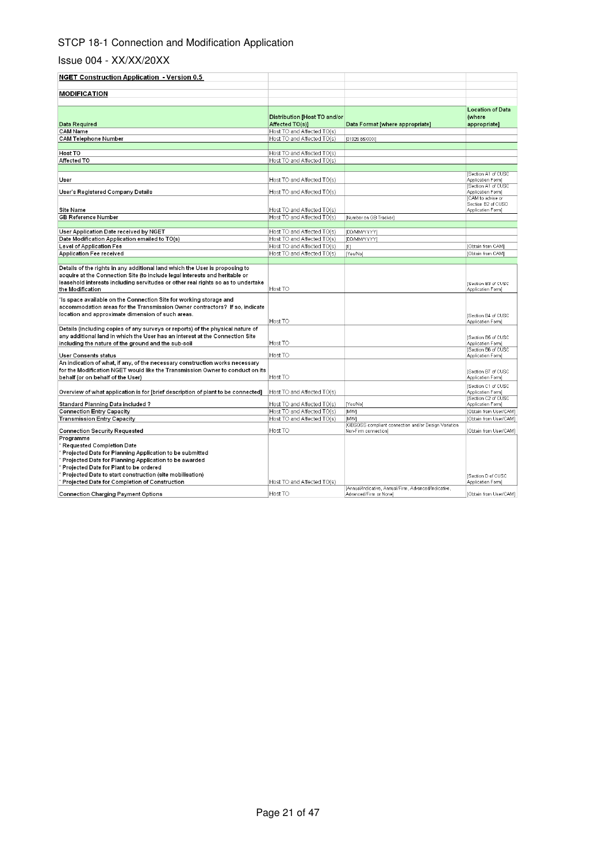| NGET Construction Application - Version 0.5                                                                                                                    |                                                 |                                                       |                                                   |
|----------------------------------------------------------------------------------------------------------------------------------------------------------------|-------------------------------------------------|-------------------------------------------------------|---------------------------------------------------|
| <b>MODIFICATION</b>                                                                                                                                            |                                                 |                                                       |                                                   |
|                                                                                                                                                                |                                                 |                                                       |                                                   |
| Data Required                                                                                                                                                  | Distribution [Host TO and/or<br>Affected TO(s)] | Data Format [where appropriate]                       | <b>Location of Data</b><br>(where<br>appropriate] |
| <b>CAM Name</b>                                                                                                                                                | Host TO and Affected TO(s)                      |                                                       |                                                   |
| <b>CAM Telephone Number</b>                                                                                                                                    | Host TO and Affected TO(s)                      | [01926 65XXX]                                         |                                                   |
|                                                                                                                                                                |                                                 |                                                       |                                                   |
| Host TO                                                                                                                                                        | Host TO and Affected TO(s)                      |                                                       |                                                   |
| Affected TO                                                                                                                                                    | Host TO and Affected TO(s)                      |                                                       |                                                   |
|                                                                                                                                                                |                                                 |                                                       | Section A1 of CUSC                                |
| User                                                                                                                                                           | Host TO and Affected TO(s)                      |                                                       | Application Form]                                 |
|                                                                                                                                                                |                                                 |                                                       | Section A1 of CUSC                                |
| User's Registered Company Details                                                                                                                              | Host TO and Affected TO(s)                      |                                                       | Application Form]                                 |
|                                                                                                                                                                |                                                 |                                                       | CAM to advise or<br>Section B2 of CUSC            |
| <b>Site Name</b>                                                                                                                                               | Host TO and Affected TO(s)                      |                                                       | Application Form]                                 |
| GB Reference Number                                                                                                                                            | Host TO and Affected TO(s)                      | [Number on GB Tracker]                                |                                                   |
|                                                                                                                                                                |                                                 |                                                       |                                                   |
| User Application Date received by NGET                                                                                                                         | Host TO and Affected TO(s)                      | [DD/MM/YYYY]                                          |                                                   |
| Date Modification Application emailed to TO(s)                                                                                                                 | Host TO and Affected TO(s)                      | [DD/MM/YYYY]                                          |                                                   |
| Level of Application Fee                                                                                                                                       | Host TO and Affected TO(s)                      | f(x)                                                  | [Obtain from CAM]                                 |
| Application Fee received                                                                                                                                       | Host TO and Affected TO(s)                      | [Yes/No]                                              | [Obtain from CAM]                                 |
|                                                                                                                                                                |                                                 |                                                       |                                                   |
| Details of the rights in any additional land which the User is proposing to                                                                                    |                                                 |                                                       |                                                   |
| acquire at the Connection Site (to include legal interests and heritable or                                                                                    |                                                 |                                                       |                                                   |
| leasehold interests including servitudes or other real rights so as to undertake<br>the Modification                                                           | Host TO                                         |                                                       | Section B3 of CUSC<br>Application Form)           |
|                                                                                                                                                                |                                                 |                                                       |                                                   |
| ls space available on the Connection Site for working storage and'                                                                                             |                                                 |                                                       |                                                   |
| accommodation areas for the Transmission Owner contractors? If so, indicate                                                                                    |                                                 |                                                       |                                                   |
| location and approximate dimension of such areas.                                                                                                              |                                                 |                                                       | Section B4 of CUSC                                |
|                                                                                                                                                                | Host TO                                         |                                                       | Application Form]                                 |
| Details (including copies of any surveys or reports) of the physical nature of<br>any additional land in which the User has an interest at the Connection Site |                                                 |                                                       |                                                   |
| including the nature of the ground and the sub-soil                                                                                                            | Host TO                                         |                                                       | Section B5 of CUSC<br>Application Form]           |
|                                                                                                                                                                |                                                 |                                                       | Section B6 of CUSC                                |
| User Consents status                                                                                                                                           | Host TO                                         |                                                       | Application Form]                                 |
| An indication of what, if any, of the necessary construction works necessary                                                                                   |                                                 |                                                       |                                                   |
| for the Modification NGET would like the Transmission Owner to conduct on its                                                                                  |                                                 |                                                       | Section B7 of CUSC                                |
| behalf (or on behalf of the User)                                                                                                                              | Host TO                                         |                                                       | Application Form)                                 |
|                                                                                                                                                                |                                                 |                                                       | Section C1 of CUSC                                |
| Overview of what application is for [brief description of plant to be connected]                                                                               | Host TO and Affected TO(s)                      |                                                       | Application Form)                                 |
| Standard Planning Data included ?                                                                                                                              | Host TO and Affected TO(s)                      | [Yes/No]                                              | Section C2 of CUSC<br>Application Form]           |
| <b>Connection Entry Capacity</b>                                                                                                                               | Host TO and Affected TO(s)                      | [MW]                                                  | [Obtain from User/CAM]                            |
| <b>Transmission Entry Capacity</b>                                                                                                                             | Host TO and Affected TO(s)                      | <b>IMWI</b>                                           | Obtain from User/CAM1                             |
|                                                                                                                                                                |                                                 | [GBSQSS compliant connection and/or Design Variation  |                                                   |
| <b>Connection Security Requested</b>                                                                                                                           | Host TO                                         | Non-Firm connection]                                  | [Obtain from User/CAM]                            |
| Programme                                                                                                                                                      |                                                 |                                                       |                                                   |
| ' Requested Completion Date                                                                                                                                    |                                                 |                                                       |                                                   |
| Projected Date for Planning Application to be submitted                                                                                                        |                                                 |                                                       |                                                   |
| Projected Date for Planning Application to be awarded                                                                                                          |                                                 |                                                       |                                                   |
| Projected Date for Plant to be ordered                                                                                                                         |                                                 |                                                       |                                                   |
| Projected Date to start construction (site mobilisation)                                                                                                       |                                                 |                                                       | Section D of CUSC                                 |
| Projected Date for Completion of Construction                                                                                                                  | Host TO and Affected TO(s)                      | [Annual/Indicative, Annual/Firm, Advanced/Indicative, | Application Form]                                 |
| <b>Connection Charging Payment Options</b>                                                                                                                     | Host TO                                         | Advanced/Firm or None]                                | [Obtain from User/CAM]                            |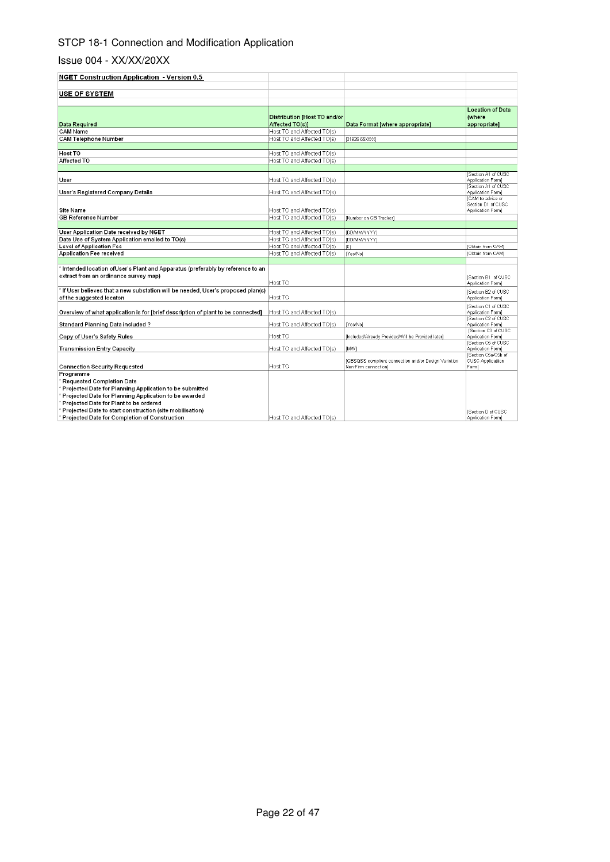| <b>NGET Construction Application - Version 0.5</b>                               |                                                 |                                                      |                                         |
|----------------------------------------------------------------------------------|-------------------------------------------------|------------------------------------------------------|-----------------------------------------|
|                                                                                  |                                                 |                                                      |                                         |
| <b>USE OF SYSTEM</b>                                                             |                                                 |                                                      |                                         |
|                                                                                  |                                                 |                                                      |                                         |
|                                                                                  |                                                 |                                                      | <b>Location of Data</b>                 |
|                                                                                  |                                                 |                                                      | (where                                  |
| Data Required                                                                    | Distribution [Host TO and/or<br>Affected TO(s)] | Data Format [where appropriate]                      |                                         |
| <b>CAM Name</b>                                                                  | Host TO and Affected TO(s)                      |                                                      | appropriate]                            |
|                                                                                  |                                                 |                                                      |                                         |
| <b>CAM Telephone Number</b>                                                      | Host TO and Affected TO(s)                      | [01926 65XXX]                                        |                                         |
|                                                                                  |                                                 |                                                      |                                         |
| Host TO                                                                          | Host TO and Affected TO(s)                      |                                                      |                                         |
| Affected TO                                                                      | Host TO and Affected TO(s)                      |                                                      |                                         |
|                                                                                  |                                                 |                                                      |                                         |
| User                                                                             |                                                 |                                                      | Section A1 of CUSC<br>Application Form) |
|                                                                                  | Host TO and Affected TO(s)                      |                                                      | Section A1 of CUSC                      |
| User's Registered Company Details                                                | Host TO and Affected TO(s)                      |                                                      | Application Form]                       |
|                                                                                  |                                                 |                                                      | ICAM to advise or                       |
|                                                                                  |                                                 |                                                      | Section D1 of CUSC                      |
| <b>Site Name</b>                                                                 | Host TO and Affected TO(s)                      |                                                      | Application Form]                       |
| <b>GB Reference Number</b>                                                       | Host TO and Affected TO(s)                      | [Number on GB Tracker]                               |                                         |
|                                                                                  |                                                 |                                                      |                                         |
| User Application Date received by NGET                                           | Host TO and Affected TO(s)                      | IDD/MM/YYYYI                                         |                                         |
| Date Use of System Application emailed to TO(s)                                  | Host TO and Affected TO(s)                      | IDD/MM/YYYYI                                         |                                         |
| Level of Application Fee                                                         | Host TO and Affected TO(s)                      | [£]                                                  | [Obtain from CAM]                       |
| Application Fee received                                                         | Host TO and Affected TO(s)                      | [Yes/No]                                             | [Obtain from CAM]                       |
|                                                                                  |                                                 |                                                      |                                         |
| * Intended location ofUser's Plant and Apparatus (preferably by reference to an  |                                                 |                                                      |                                         |
| extract from an ordinance survey map)                                            |                                                 |                                                      | ISection B1 of CUSC                     |
|                                                                                  | Host TO                                         |                                                      | Application Form]                       |
| f If User believes that a new substation will be needed. User's proposed plan(s) |                                                 |                                                      | Section B2 of CUSC                      |
| of the suggested locaton                                                         | Host TO                                         |                                                      | Application Form]                       |
|                                                                                  |                                                 |                                                      | Section C1 of CUSC                      |
| Overview of what application is for [brief description of plant to be connected] | Host TO and Affected TO(s)                      |                                                      | Application Form]                       |
|                                                                                  |                                                 |                                                      | <b>ISection C2 of CUSC</b>              |
| Standard Planning Data included ?                                                | Host TO and Affected TO(s)                      | [Yes/No]                                             | Application Form]                       |
| Copy of User's Safety Rules                                                      | Host TO                                         | [Included/Already Provided/Will be Provided later]   | Section C3 of CUSC<br>Application Form] |
|                                                                                  |                                                 |                                                      | Section C5 of CUSC                      |
| Transmission Entry Capacity                                                      | Host TO and Affected TO(s)                      | <b>IMWI</b>                                          | Application Form)                       |
|                                                                                  |                                                 |                                                      | Section C5a/C5b of                      |
|                                                                                  |                                                 | [GBSQSS compliant connection and/or Design Variation | <b>CUSC Applicatiion</b>                |
| Connection Security Requested                                                    | Host TO                                         | Non-Firm connection]                                 | Form                                    |
| Programme                                                                        |                                                 |                                                      |                                         |
| Requested Completion Date                                                        |                                                 |                                                      |                                         |
| Projected Date for Planning Application to be submitted                          |                                                 |                                                      |                                         |
| Projected Date for Planning Application to be awarded                            |                                                 |                                                      |                                         |
| Projected Date for Plant to be ordered                                           |                                                 |                                                      |                                         |
| Projected Date to start construction (site mobilisation)                         |                                                 |                                                      | Section D of CUSC                       |
| Projected Date for Completion of Construction                                    | Host TO and Affected TO(s)                      |                                                      | Application Form]                       |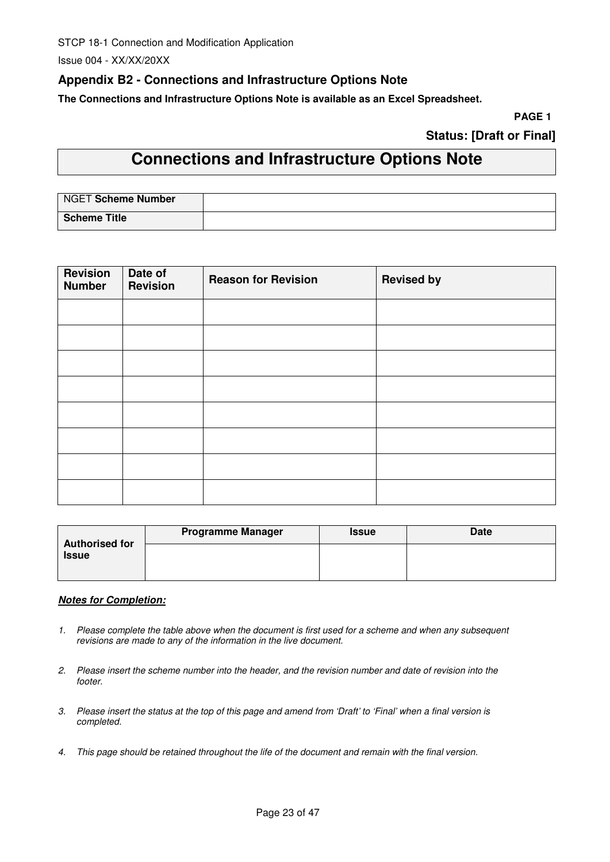Issue 004 - XX/XX/20XX

## **Appendix B2 - Connections and Infrastructure Options Note**

**The Connections and Infrastructure Options Note is available as an Excel Spreadsheet.** 

**PAGE 1**

## **Status: [Draft or Final]**

# **Connections and Infrastructure Options Note**

| NGET Scheme Number  |  |
|---------------------|--|
| <b>Scheme Title</b> |  |

| <b>Revision</b><br><b>Number</b> | Date of<br><b>Revision</b> | <b>Reason for Revision</b> | <b>Revised by</b> |
|----------------------------------|----------------------------|----------------------------|-------------------|
|                                  |                            |                            |                   |
|                                  |                            |                            |                   |
|                                  |                            |                            |                   |
|                                  |                            |                            |                   |
|                                  |                            |                            |                   |
|                                  |                            |                            |                   |
|                                  |                            |                            |                   |
|                                  |                            |                            |                   |

| <b>Authorised for</b> | <b>Programme Manager</b> | <b>Issue</b> | <b>Date</b> |
|-----------------------|--------------------------|--------------|-------------|
| <b>Issue</b>          |                          |              |             |
|                       |                          |              |             |

#### **Notes for Completion:**

- 1. Please complete the table above when the document is first used for a scheme and when any subsequent revisions are made to any of the information in the live document.
- 2. Please insert the scheme number into the header, and the revision number and date of revision into the footer.
- 3. Please insert the status at the top of this page and amend from 'Draft' to 'Final' when a final version is completed.
- 4. This page should be retained throughout the life of the document and remain with the final version.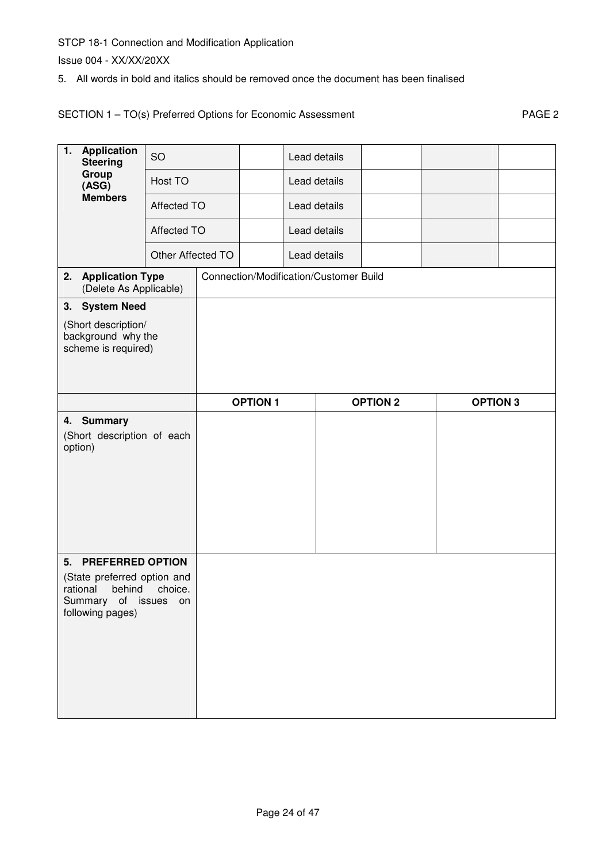Issue 004 - XX/XX/20XX

5. All words in bold and italics should be removed once the document has been finalised

## SECTION 1 - TO(s) Preferred Options for Economic Assessment PAGE 2

| $\overline{\mathbf{1}}$ .<br><b>Application</b><br><b>Steering</b> | <b>SO</b>         |                 | Lead details |                                        |                 |                 |  |
|--------------------------------------------------------------------|-------------------|-----------------|--------------|----------------------------------------|-----------------|-----------------|--|
| Group<br>(ASG)                                                     | Host TO           |                 | Lead details |                                        |                 |                 |  |
| <b>Members</b>                                                     | Affected TO       |                 | Lead details |                                        |                 |                 |  |
|                                                                    | Affected TO       |                 | Lead details |                                        |                 |                 |  |
|                                                                    | Other Affected TO |                 | Lead details |                                        |                 |                 |  |
| <b>Application Type</b><br>2.<br>(Delete As Applicable)            |                   |                 |              | Connection/Modification/Customer Build |                 |                 |  |
| 3. System Need                                                     |                   |                 |              |                                        |                 |                 |  |
| (Short description/<br>background why the<br>scheme is required)   |                   |                 |              |                                        |                 |                 |  |
|                                                                    |                   | <b>OPTION 1</b> |              |                                        | <b>OPTION 2</b> | <b>OPTION 3</b> |  |
| 4. Summary<br>(Short description of each<br>option)                |                   |                 |              |                                        |                 |                 |  |
|                                                                    |                   |                 |              |                                        |                 |                 |  |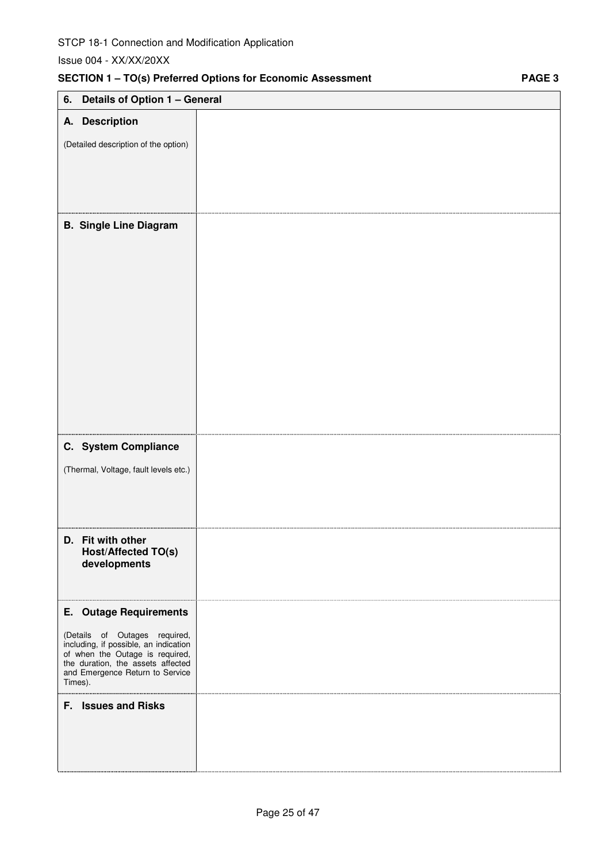| Details of Option 1 - General<br>6.                                                                                                                                                                                           |  |
|-------------------------------------------------------------------------------------------------------------------------------------------------------------------------------------------------------------------------------|--|
| A. Description                                                                                                                                                                                                                |  |
| (Detailed description of the option)                                                                                                                                                                                          |  |
| <b>B. Single Line Diagram</b>                                                                                                                                                                                                 |  |
| C. System Compliance<br>(Thermal, Voltage, fault levels etc.)                                                                                                                                                                 |  |
| D. Fit with other<br>Host/Affected TO(s)<br>developments                                                                                                                                                                      |  |
| <b>E.</b> Outage Requirements<br>(Details of Outages required,<br>including, if possible, an indication<br>of when the Outage is required,<br>the duration, the assets affected<br>and Emergence Return to Service<br>Times). |  |
| F. Issues and Risks                                                                                                                                                                                                           |  |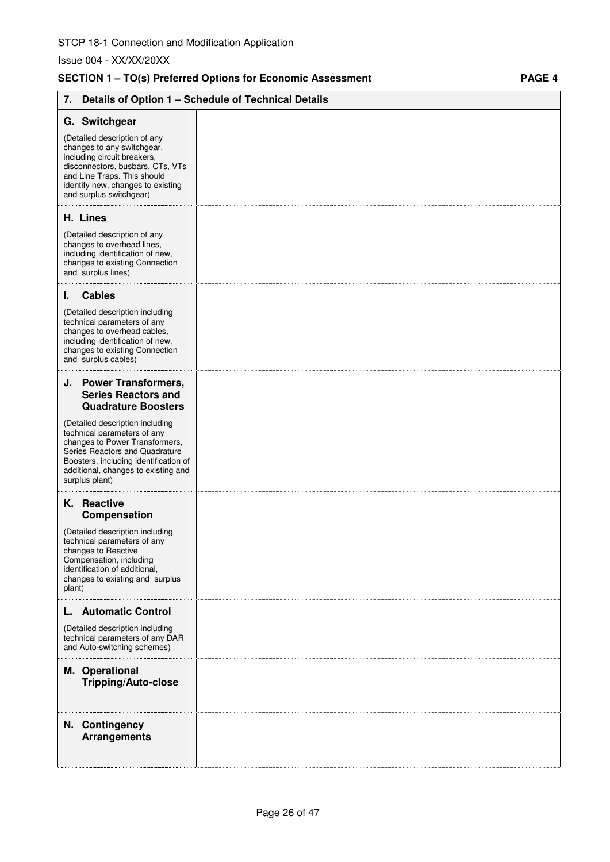## **SECTION 1 – TO(s) Preferred Options for Economic Assessment PAGE 4**

| 7.                                                                                                                                                                                                                                   | Details of Option 1 - Schedule of Technical Details |
|--------------------------------------------------------------------------------------------------------------------------------------------------------------------------------------------------------------------------------------|-----------------------------------------------------|
| G. Switchgear<br>(Detailed description of any<br>changes to any switchgear,<br>including circuit breakers,                                                                                                                           |                                                     |
| disconnectors, busbars, CTs, VTs<br>and Line Traps. This should<br>identify new, changes to existing<br>and surplus switchgear)                                                                                                      |                                                     |
| H. Lines                                                                                                                                                                                                                             |                                                     |
| (Detailed description of any<br>changes to overhead lines,<br>including identification of new,<br>changes to existing Connection<br>and surplus lines)                                                                               |                                                     |
| <b>Cables</b><br>ı.                                                                                                                                                                                                                  |                                                     |
| (Detailed description including<br>technical parameters of any<br>changes to overhead cables,<br>including identification of new,<br>changes to existing Connection<br>and surplus cables)                                           |                                                     |
| J. Power Transformers,<br><b>Series Reactors and</b>                                                                                                                                                                                 |                                                     |
| <b>Quadrature Boosters</b>                                                                                                                                                                                                           |                                                     |
| (Detailed description including<br>technical parameters of any<br>changes to Power Transformers,<br>Series Reactors and Quadrature<br>Boosters, including identification of<br>additional, changes to existing and<br>surplus plant) |                                                     |
| K. Reactive<br>Compensation                                                                                                                                                                                                          |                                                     |
| (Detailed description including<br>technical parameters of any<br>changes to Reactive<br>Compensation, including<br>identification of additional,<br>changes to existing and surplus<br>plant)                                       |                                                     |
| <b>Automatic Control</b><br>(Detailed description including<br>technical parameters of any DAR<br>and Auto-switching schemes)                                                                                                        |                                                     |
| M. Operational<br><b>Tripping/Auto-close</b>                                                                                                                                                                                         |                                                     |
| N. Contingency<br><b>Arrangements</b>                                                                                                                                                                                                |                                                     |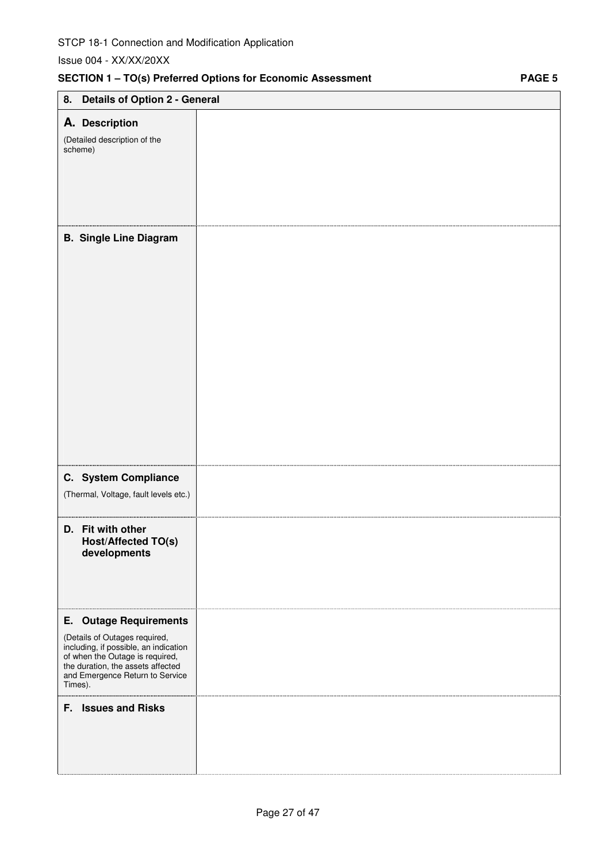# **SECTION 1 – TO(s) Preferred Options for Economic Assessment PAGE 5 8. Details of Option 2 - General A. Description** (Detailed description of the scheme) **B. Single Line Diagram C. System Compliance**  (Thermal, Voltage, fault levels etc.) **D. Fit with other Host/Affected TO(s) developments E. Outage Requirements**  (Details of Outages required, including, if possible, an indication of when the Outage is required, the duration, the assets affected and Emergence Return to Service Times). . . . . . . . . **F. Issues and Risks**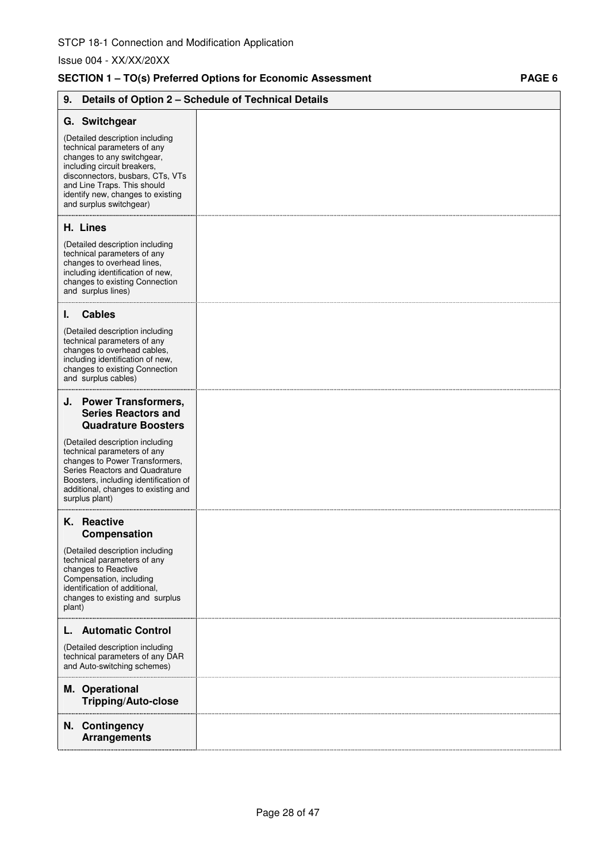## SECTION 1 - TO(s) Preferred Options for Economic Assessment PAGE 6

| 9.                                                                                                                                                                                                                                                             | Details of Option 2 - Schedule of Technical Details |
|----------------------------------------------------------------------------------------------------------------------------------------------------------------------------------------------------------------------------------------------------------------|-----------------------------------------------------|
| G. Switchgear                                                                                                                                                                                                                                                  |                                                     |
| (Detailed description including<br>technical parameters of any<br>changes to any switchgear,<br>including circuit breakers,<br>disconnectors, busbars, CTs, VTs<br>and Line Traps. This should<br>identify new, changes to existing<br>and surplus switchgear) |                                                     |
| H. Lines                                                                                                                                                                                                                                                       |                                                     |
| (Detailed description including<br>technical parameters of any<br>changes to overhead lines,<br>including identification of new,<br>changes to existing Connection<br>and surplus lines)                                                                       |                                                     |
| <b>Cables</b><br>ı.                                                                                                                                                                                                                                            |                                                     |
| (Detailed description including<br>technical parameters of any<br>changes to overhead cables,<br>including identification of new,<br>changes to existing Connection<br>and surplus cables)                                                                     |                                                     |
| J. Power Transformers,<br><b>Series Reactors and</b><br><b>Quadrature Boosters</b>                                                                                                                                                                             |                                                     |
| (Detailed description including<br>technical parameters of any<br>changes to Power Transformers,<br>Series Reactors and Quadrature<br>Boosters, including identification of<br>additional, changes to existing and<br>surplus plant)                           |                                                     |
| K. Reactive<br>Compensation                                                                                                                                                                                                                                    |                                                     |
| (Detailed description including<br>technical parameters of any<br>changes to Reactive<br>Compensation, including<br>identification of additional,<br>changes to existing and surplus<br>plant)                                                                 |                                                     |
| <b>Automatic Control</b><br>L.                                                                                                                                                                                                                                 |                                                     |
| (Detailed description including<br>technical parameters of any DAR<br>and Auto-switching schemes)                                                                                                                                                              |                                                     |
| M. Operational<br><b>Tripping/Auto-close</b>                                                                                                                                                                                                                   |                                                     |
| N. Contingency<br><b>Arrangements</b>                                                                                                                                                                                                                          |                                                     |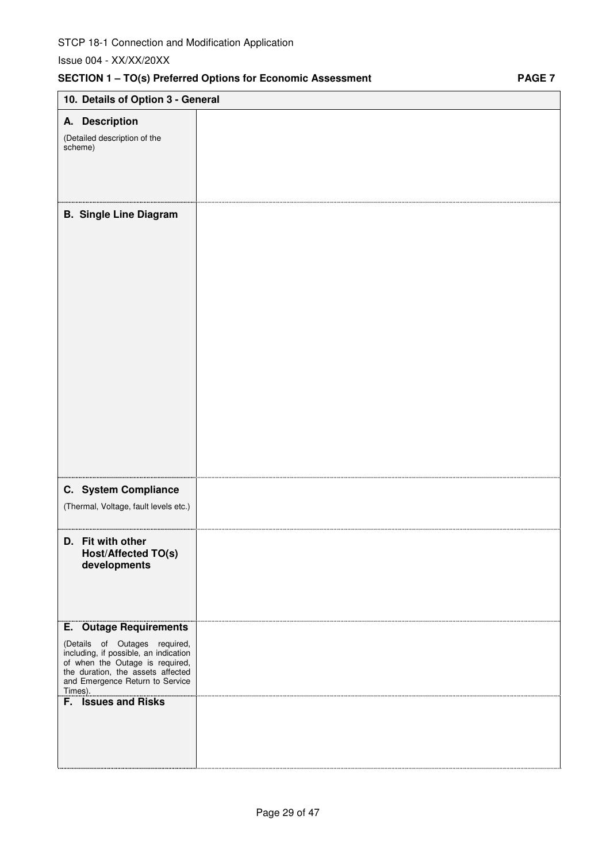| 10. Details of Option 3 - General                                                                                                                                                                                                                           |  |
|-------------------------------------------------------------------------------------------------------------------------------------------------------------------------------------------------------------------------------------------------------------|--|
|                                                                                                                                                                                                                                                             |  |
| A. Description<br>(Detailed description of the<br>scheme)                                                                                                                                                                                                   |  |
| <b>B. Single Line Diagram</b>                                                                                                                                                                                                                               |  |
| C. System Compliance<br>(Thermal, Voltage, fault levels etc.)                                                                                                                                                                                               |  |
| D. Fit with other<br>Host/Affected TO(s)<br>developments                                                                                                                                                                                                    |  |
| <b>E.</b> Outage Requirements<br>(Details of Outages required,<br>including, if possible, an indication<br>of when the Outage is required,<br>the duration, the assets affected<br>and Emergence Return to Service<br>Times).<br><b>F.</b> Issues and Risks |  |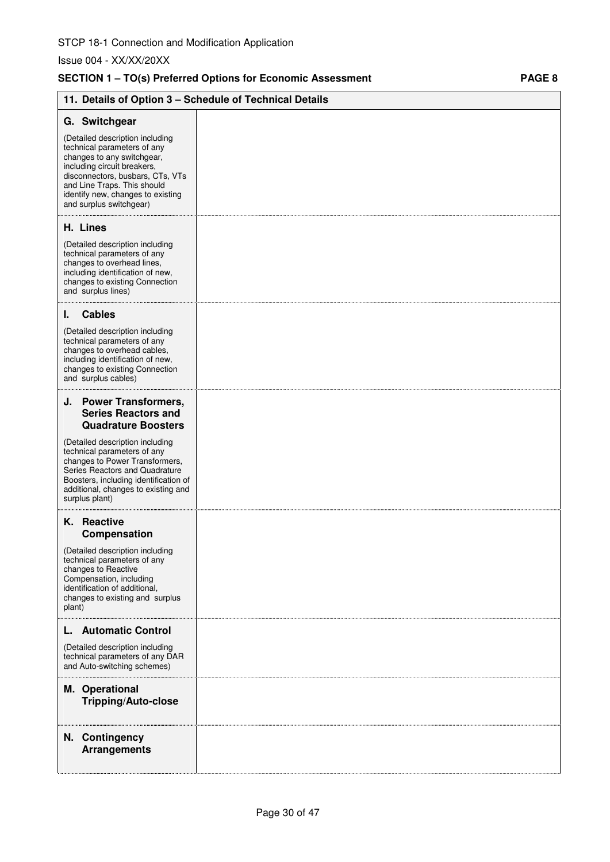## **SECTION 1 – TO(s) Preferred Options for Economic Assessment PAGE 8**

| 11. Details of Option 3 - Schedule of Technical Details                                                                                                                                                                                                        |  |
|----------------------------------------------------------------------------------------------------------------------------------------------------------------------------------------------------------------------------------------------------------------|--|
| G. Switchgear                                                                                                                                                                                                                                                  |  |
| (Detailed description including<br>technical parameters of any<br>changes to any switchgear,<br>including circuit breakers,<br>disconnectors, busbars, CTs, VTs<br>and Line Traps. This should<br>identify new, changes to existing<br>and surplus switchgear) |  |
| H. Lines                                                                                                                                                                                                                                                       |  |
| (Detailed description including<br>technical parameters of any<br>changes to overhead lines,<br>including identification of new,<br>changes to existing Connection<br>and surplus lines)                                                                       |  |
| <b>Cables</b><br>L.                                                                                                                                                                                                                                            |  |
| (Detailed description including<br>technical parameters of any<br>changes to overhead cables,<br>including identification of new,<br>changes to existing Connection<br>and surplus cables)                                                                     |  |
| J. Power Transformers,<br><b>Series Reactors and</b><br><b>Quadrature Boosters</b>                                                                                                                                                                             |  |
| (Detailed description including<br>technical parameters of any<br>changes to Power Transformers,<br>Series Reactors and Quadrature<br>Boosters, including identification of<br>additional, changes to existing and<br>surplus plant)                           |  |
| K. Reactive<br>Compensation                                                                                                                                                                                                                                    |  |
| (Detailed description including<br>technical parameters of any<br>changes to Reactive<br>Compensation, including<br>identification of additional,<br>changes to existing and surplus<br>plant)                                                                 |  |
| <b>Automatic Control</b><br>L.                                                                                                                                                                                                                                 |  |
| (Detailed description including<br>technical parameters of any DAR<br>and Auto-switching schemes)                                                                                                                                                              |  |
| M. Operational<br><b>Tripping/Auto-close</b>                                                                                                                                                                                                                   |  |
| N. Contingency<br><b>Arrangements</b>                                                                                                                                                                                                                          |  |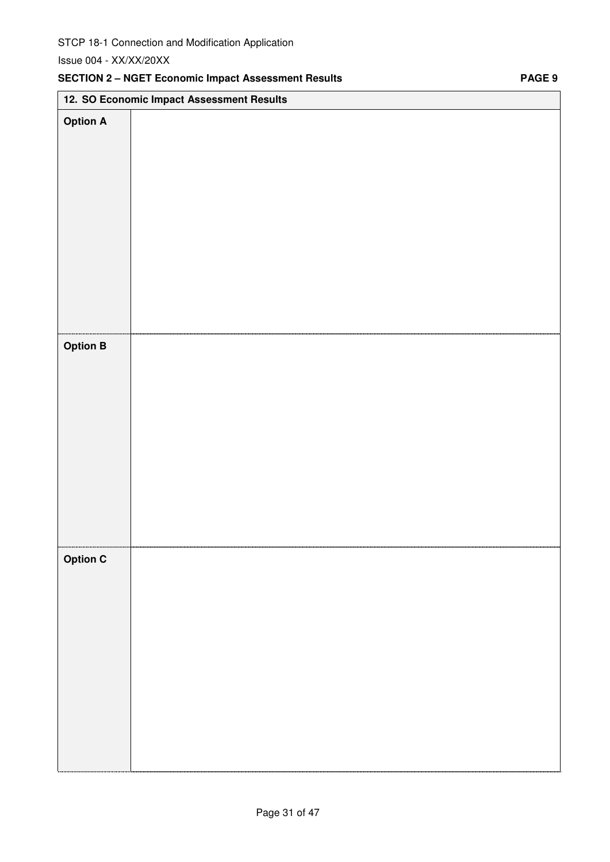## **SECTION 2 – NGET Economic Impact Assessment Results PAGE 9**

|                 | 12. SO Economic Impact Assessment Results |
|-----------------|-------------------------------------------|
| <b>Option A</b> |                                           |
|                 |                                           |
|                 |                                           |
|                 |                                           |
|                 |                                           |
|                 |                                           |
|                 |                                           |
|                 |                                           |
|                 |                                           |
|                 |                                           |
|                 |                                           |
|                 |                                           |
| <b>Option B</b> |                                           |
|                 |                                           |
|                 |                                           |
|                 |                                           |
|                 |                                           |
|                 |                                           |
|                 |                                           |
|                 |                                           |
|                 |                                           |
|                 |                                           |
|                 |                                           |
| <b>Option C</b> |                                           |
|                 |                                           |
|                 |                                           |
|                 |                                           |
|                 |                                           |
|                 |                                           |
|                 |                                           |
|                 |                                           |
|                 |                                           |
|                 |                                           |
|                 |                                           |
|                 |                                           |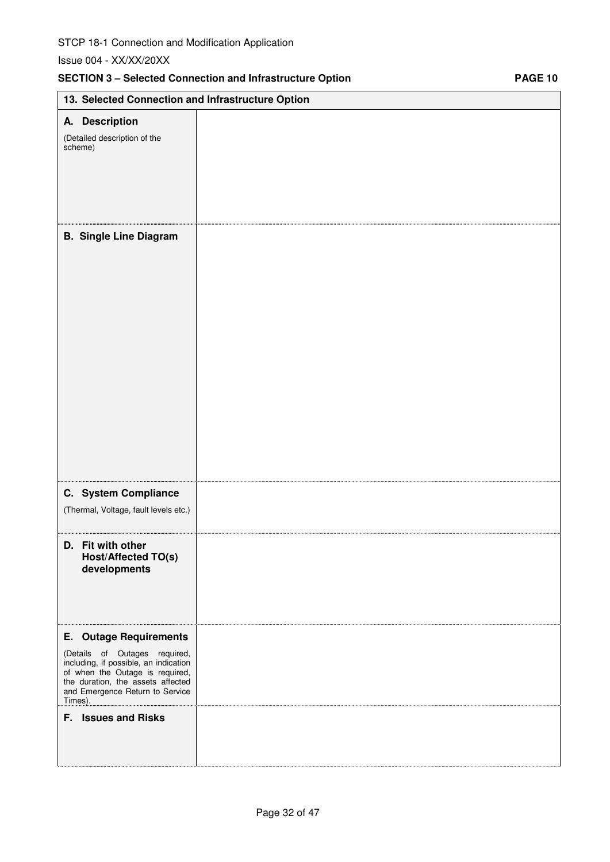|                                                                                                                                                                                                                                                      | <b>SECTION 3 - Selected Connection and Infrastructure Option</b> | <b>PAGE 10</b> |
|------------------------------------------------------------------------------------------------------------------------------------------------------------------------------------------------------------------------------------------------------|------------------------------------------------------------------|----------------|
| 13. Selected Connection and Infrastructure Option                                                                                                                                                                                                    |                                                                  |                |
| A. Description<br>(Detailed description of the<br>scheme)                                                                                                                                                                                            |                                                                  |                |
| <b>B. Single Line Diagram</b>                                                                                                                                                                                                                        |                                                                  |                |
| C. System Compliance<br>(Thermal, Voltage, fault levels etc.)                                                                                                                                                                                        |                                                                  |                |
| D. Fit with other<br>Host/Affected TO(s)<br>developments                                                                                                                                                                                             |                                                                  |                |
| <b>E.</b> Outage Requirements<br>(Details of Outages required,<br>including, if possible, an indication<br>of when the Outage is required,<br>the duration, the assets affected<br>and Emergence Return to Service<br>Times).<br>F. Issues and Risks |                                                                  |                |
|                                                                                                                                                                                                                                                      |                                                                  |                |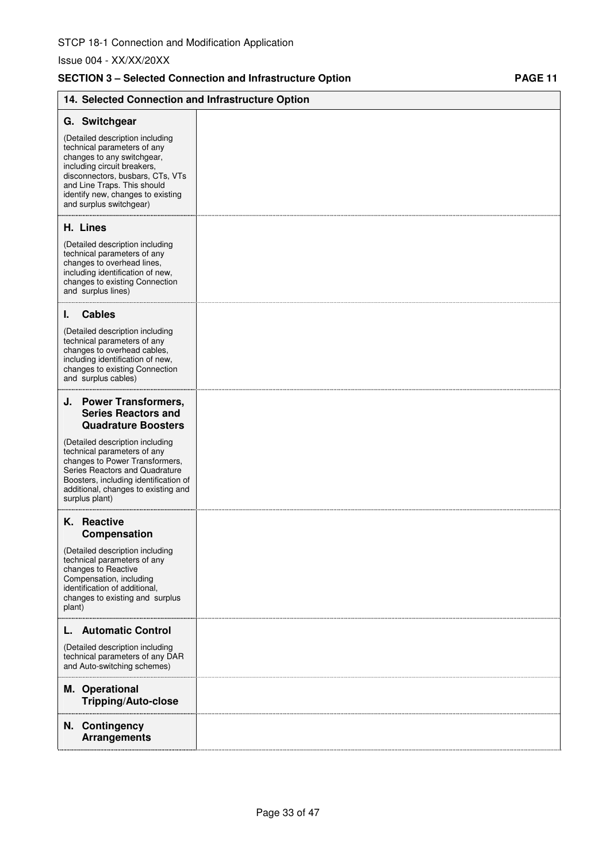## SECTION 3 - Selected Connection and Infrastructure Option **PAGE 11**

| 14. Selected Connection and Infrastructure Option                                                                                                                                                                                                              |  |
|----------------------------------------------------------------------------------------------------------------------------------------------------------------------------------------------------------------------------------------------------------------|--|
| G. Switchgear                                                                                                                                                                                                                                                  |  |
| (Detailed description including<br>technical parameters of any<br>changes to any switchgear,<br>including circuit breakers,<br>disconnectors, busbars, CTs, VTs<br>and Line Traps. This should<br>identify new, changes to existing<br>and surplus switchgear) |  |
| H. Lines                                                                                                                                                                                                                                                       |  |
| (Detailed description including<br>technical parameters of any<br>changes to overhead lines,<br>including identification of new,<br>changes to existing Connection<br>and surplus lines)                                                                       |  |
| <b>Cables</b><br>ı.                                                                                                                                                                                                                                            |  |
| (Detailed description including<br>technical parameters of any<br>changes to overhead cables,<br>including identification of new,<br>changes to existing Connection<br>and surplus cables)                                                                     |  |
| J. Power Transformers,<br><b>Series Reactors and</b><br><b>Quadrature Boosters</b>                                                                                                                                                                             |  |
| (Detailed description including<br>technical parameters of any<br>changes to Power Transformers,<br>Series Reactors and Quadrature<br>Boosters, including identification of<br>additional, changes to existing and<br>surplus plant)                           |  |
| K. Reactive<br>Compensation                                                                                                                                                                                                                                    |  |
| (Detailed description including<br>technical parameters of any<br>changes to Reactive<br>Compensation, including<br>identification of additional,<br>changes to existing and surplus<br>plant)                                                                 |  |
| <b>Automatic Control</b>                                                                                                                                                                                                                                       |  |
| (Detailed description including<br>technical parameters of any DAR<br>and Auto-switching schemes)                                                                                                                                                              |  |
| M. Operational<br><b>Tripping/Auto-close</b>                                                                                                                                                                                                                   |  |
| N. Contingency<br><b>Arrangements</b>                                                                                                                                                                                                                          |  |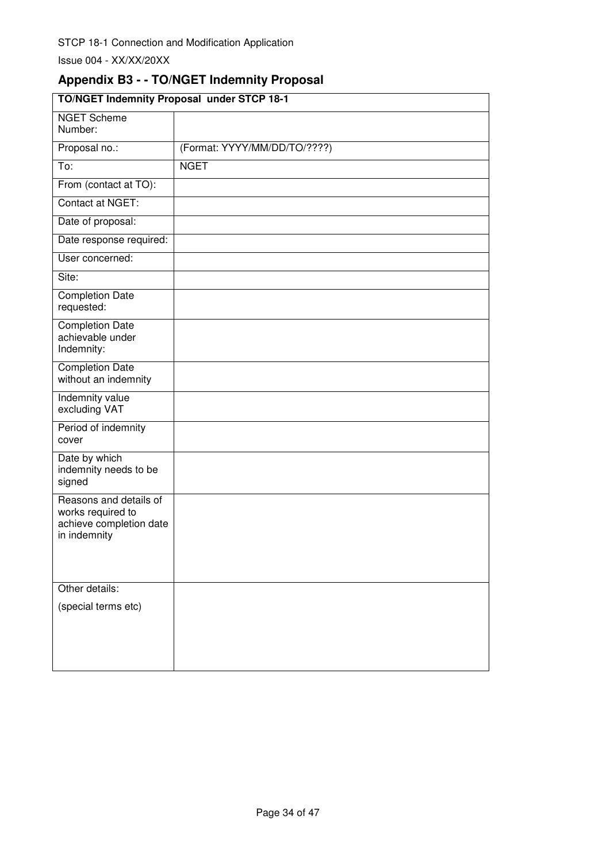# **Appendix B3 - - TO/NGET Indemnity Proposal**

| TO/NGET Indemnity Proposal under STCP 18-1                                             |                              |
|----------------------------------------------------------------------------------------|------------------------------|
| <b>NGET Scheme</b><br>Number:                                                          |                              |
| Proposal no.:                                                                          | (Format: YYYY/MM/DD/TO/????) |
| To:                                                                                    | <b>NGET</b>                  |
| From (contact at TO):                                                                  |                              |
| Contact at NGET:                                                                       |                              |
| Date of proposal:                                                                      |                              |
| Date response required:                                                                |                              |
| User concerned:                                                                        |                              |
| Site:                                                                                  |                              |
| <b>Completion Date</b><br>requested:                                                   |                              |
| <b>Completion Date</b><br>achievable under<br>Indemnity:                               |                              |
| <b>Completion Date</b><br>without an indemnity                                         |                              |
| Indemnity value<br>excluding VAT                                                       |                              |
| Period of indemnity<br>cover                                                           |                              |
| Date by which<br>indemnity needs to be<br>signed                                       |                              |
| Reasons and details of<br>works required to<br>achieve completion date<br>in indemnity |                              |
| Other details:                                                                         |                              |
| (special terms etc)                                                                    |                              |
|                                                                                        |                              |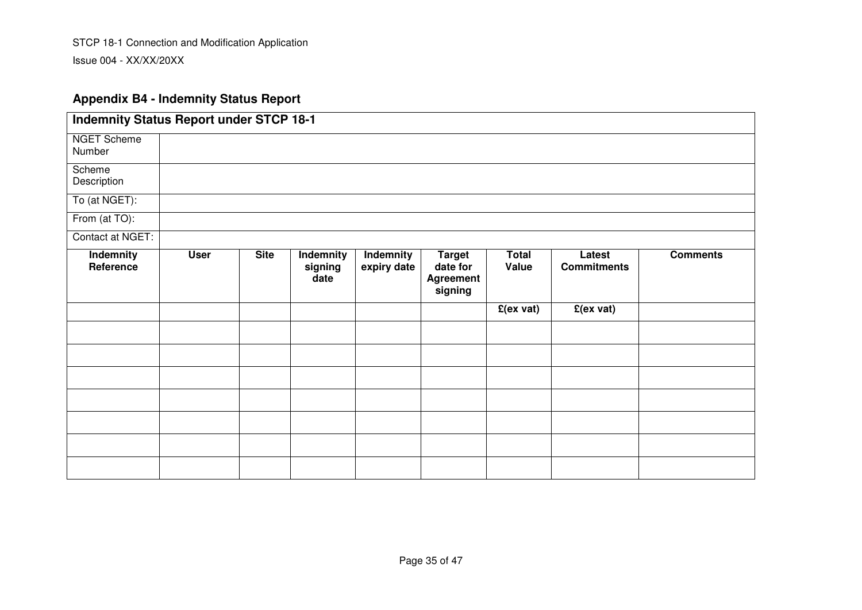## **Appendix B4 - Indemnity Status Report**

| <b>Indemnity Status Report under STCP 18-1</b> |             |             |                              |                          |                                                          |                       |                              |                 |
|------------------------------------------------|-------------|-------------|------------------------------|--------------------------|----------------------------------------------------------|-----------------------|------------------------------|-----------------|
| <b>NGET Scheme</b><br>Number                   |             |             |                              |                          |                                                          |                       |                              |                 |
| Scheme<br>Description                          |             |             |                              |                          |                                                          |                       |                              |                 |
| To (at NGET):                                  |             |             |                              |                          |                                                          |                       |                              |                 |
| From (at TO):                                  |             |             |                              |                          |                                                          |                       |                              |                 |
| Contact at NGET:                               |             |             |                              |                          |                                                          |                       |                              |                 |
| Indemnity<br>Reference                         | <b>User</b> | <b>Site</b> | Indemnity<br>signing<br>date | Indemnity<br>expiry date | <b>Target</b><br>date for<br><b>Agreement</b><br>signing | <b>Total</b><br>Value | Latest<br><b>Commitments</b> | <b>Comments</b> |
|                                                |             |             |                              |                          |                                                          | $E(ex\ vat)$          | $E(ex\; vat)$                |                 |
|                                                |             |             |                              |                          |                                                          |                       |                              |                 |
|                                                |             |             |                              |                          |                                                          |                       |                              |                 |
|                                                |             |             |                              |                          |                                                          |                       |                              |                 |
|                                                |             |             |                              |                          |                                                          |                       |                              |                 |
|                                                |             |             |                              |                          |                                                          |                       |                              |                 |
|                                                |             |             |                              |                          |                                                          |                       |                              |                 |
|                                                |             |             |                              |                          |                                                          |                       |                              |                 |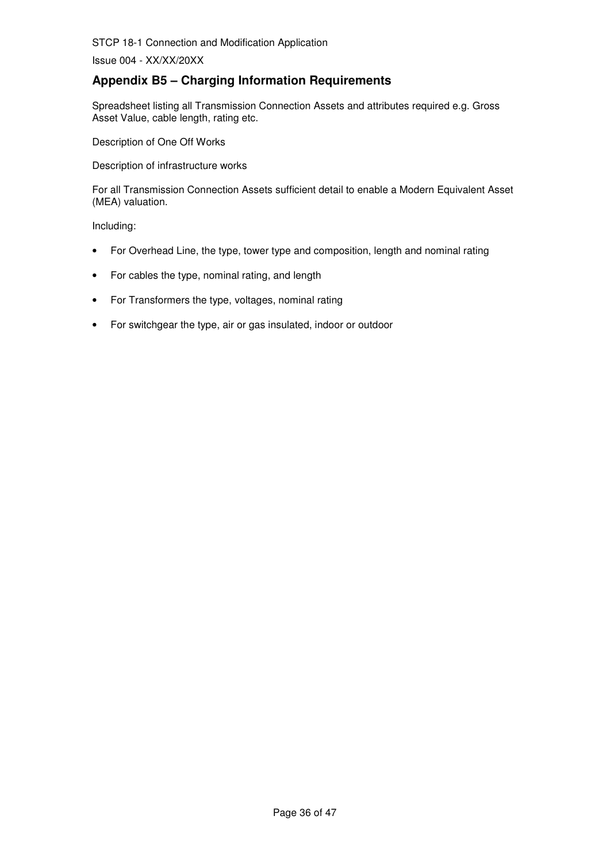Issue 004 - XX/XX/20XX

## **Appendix B5 – Charging Information Requirements**

Spreadsheet listing all Transmission Connection Assets and attributes required e.g. Gross Asset Value, cable length, rating etc.

Description of One Off Works

Description of infrastructure works

For all Transmission Connection Assets sufficient detail to enable a Modern Equivalent Asset (MEA) valuation.

Including:

- For Overhead Line, the type, tower type and composition, length and nominal rating
- For cables the type, nominal rating, and length
- For Transformers the type, voltages, nominal rating
- For switchgear the type, air or gas insulated, indoor or outdoor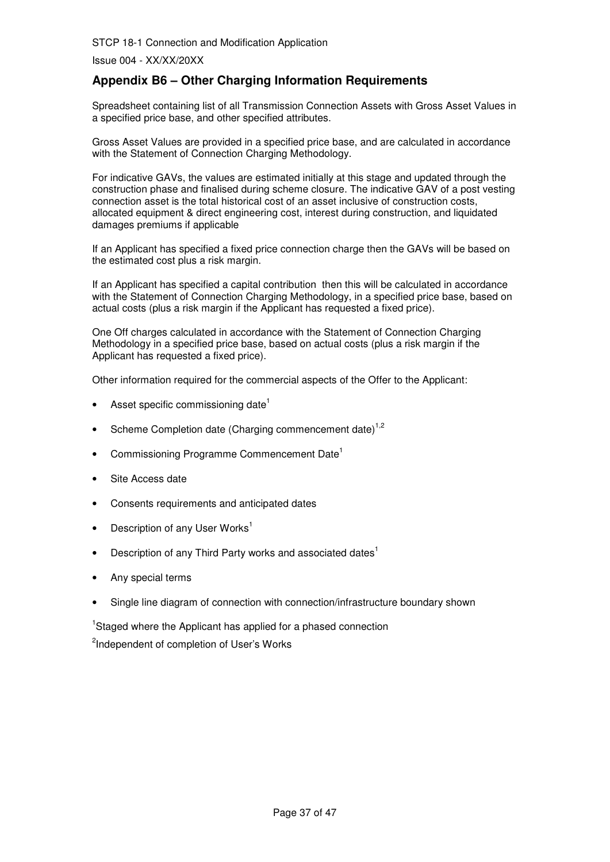Issue 004 - XX/XX/20XX

## **Appendix B6 – Other Charging Information Requirements**

Spreadsheet containing list of all Transmission Connection Assets with Gross Asset Values in a specified price base, and other specified attributes.

Gross Asset Values are provided in a specified price base, and are calculated in accordance with the Statement of Connection Charging Methodology.

For indicative GAVs, the values are estimated initially at this stage and updated through the construction phase and finalised during scheme closure. The indicative GAV of a post vesting connection asset is the total historical cost of an asset inclusive of construction costs, allocated equipment & direct engineering cost, interest during construction, and liquidated damages premiums if applicable

If an Applicant has specified a fixed price connection charge then the GAVs will be based on the estimated cost plus a risk margin.

If an Applicant has specified a capital contribution then this will be calculated in accordance with the Statement of Connection Charging Methodology, in a specified price base, based on actual costs (plus a risk margin if the Applicant has requested a fixed price).

One Off charges calculated in accordance with the Statement of Connection Charging Methodology in a specified price base, based on actual costs (plus a risk margin if the Applicant has requested a fixed price).

Other information required for the commercial aspects of the Offer to the Applicant:

- Asset specific commissioning date<sup>1</sup>
- Scheme Completion date (Charging commencement date)<sup>1,2</sup>
- Commissioning Programme Commencement Date<sup>1</sup>
- Site Access date
- Consents requirements and anticipated dates
- Description of any User Works<sup>1</sup>
- Description of any Third Party works and associated dates<sup>1</sup>
- Any special terms
- Single line diagram of connection with connection/infrastructure boundary shown

<sup>1</sup>Staged where the Applicant has applied for a phased connection <sup>2</sup>Independent of completion of User's Works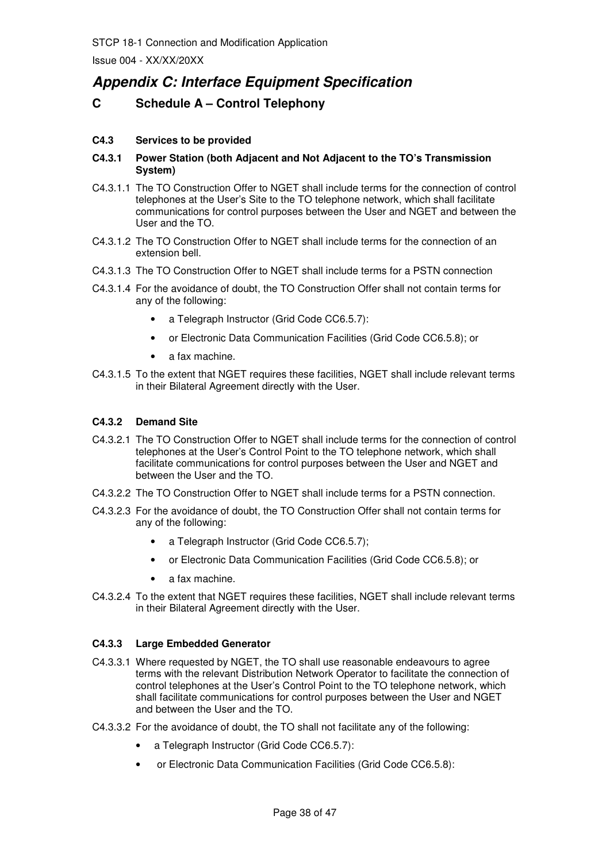# **Appendix C: Interface Equipment Specification**

## **C Schedule A – Control Telephony**

#### **C4.3 Services to be provided**

#### **C4.3.1 Power Station (both Adjacent and Not Adjacent to the TO's Transmission System)**

- C4.3.1.1 The TO Construction Offer to NGET shall include terms for the connection of control telephones at the User's Site to the TO telephone network, which shall facilitate communications for control purposes between the User and NGET and between the User and the TO.
- C4.3.1.2 The TO Construction Offer to NGET shall include terms for the connection of an extension bell.
- C4.3.1.3 The TO Construction Offer to NGET shall include terms for a PSTN connection
- C4.3.1.4 For the avoidance of doubt, the TO Construction Offer shall not contain terms for any of the following:
	- a Telegraph Instructor (Grid Code CC6.5.7):
	- or Electronic Data Communication Facilities (Grid Code CC6.5.8); or
	- a fax machine.
- C4.3.1.5 To the extent that NGET requires these facilities, NGET shall include relevant terms in their Bilateral Agreement directly with the User.

#### **C4.3.2 Demand Site**

- C4.3.2.1 The TO Construction Offer to NGET shall include terms for the connection of control telephones at the User's Control Point to the TO telephone network, which shall facilitate communications for control purposes between the User and NGET and between the User and the TO.
- C4.3.2.2 The TO Construction Offer to NGET shall include terms for a PSTN connection.
- C4.3.2.3 For the avoidance of doubt, the TO Construction Offer shall not contain terms for any of the following:
	- a Telegraph Instructor (Grid Code CC6.5.7);
	- or Electronic Data Communication Facilities (Grid Code CC6.5.8); or
	- a fax machine.
- C4.3.2.4 To the extent that NGET requires these facilities, NGET shall include relevant terms in their Bilateral Agreement directly with the User.

#### **C4.3.3 Large Embedded Generator**

- C4.3.3.1 Where requested by NGET, the TO shall use reasonable endeavours to agree terms with the relevant Distribution Network Operator to facilitate the connection of control telephones at the User's Control Point to the TO telephone network, which shall facilitate communications for control purposes between the User and NGET and between the User and the TO.
- C4.3.3.2 For the avoidance of doubt, the TO shall not facilitate any of the following:
	- a Telegraph Instructor (Grid Code CC6.5.7):
	- or Electronic Data Communication Facilities (Grid Code CC6.5.8):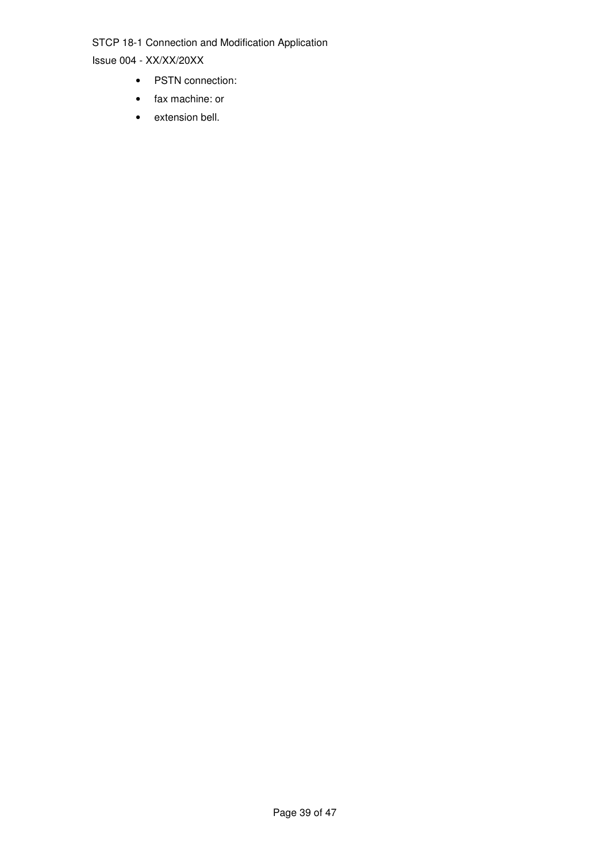- PSTN connection:
- fax machine: or
- extension bell.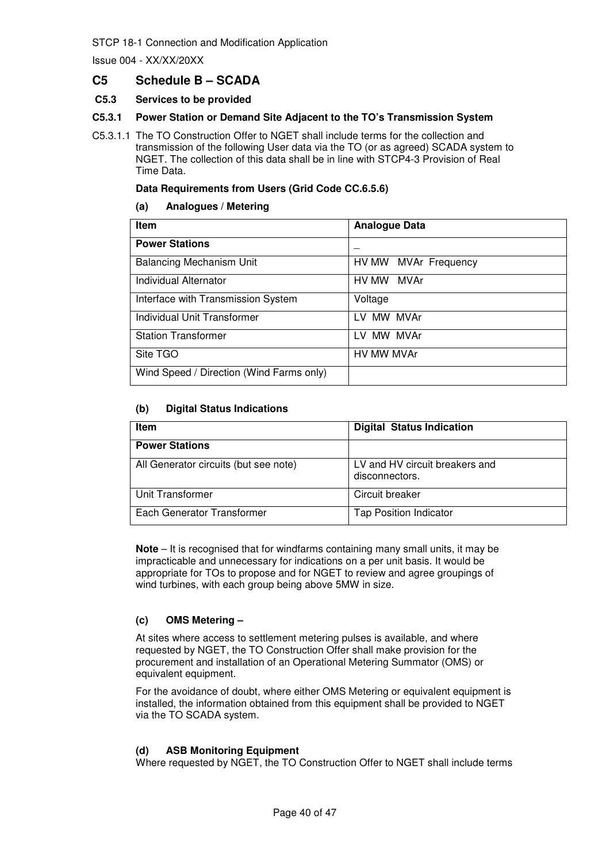Issue 004 - XX/XX/20XX

## **C5 Schedule B – SCADA**

#### **C5.3 Services to be provided**

#### **C5.3.1 Power Station or Demand Site Adjacent to the TO's Transmission System**

C5.3.1.1 The TO Construction Offer to NGET shall include terms for the collection and transmission of the following User data via the TO (or as agreed) SCADA system to NGET. The collection of this data shall be in line with STCP4-3 Provision of Real Time Data.

#### **Data Requirements from Users (Grid Code CC.6.5.6)**

#### **(a) Analogues / Metering**

| <b>Item</b>                              | <b>Analogue Data</b> |
|------------------------------------------|----------------------|
| <b>Power Stations</b>                    |                      |
| <b>Balancing Mechanism Unit</b>          | HV MW MVAr Frequency |
| Individual Alternator                    | HV MW MVAr           |
| Interface with Transmission System       | Voltage              |
| <b>Individual Unit Transformer</b>       | LV MW MVAr           |
| <b>Station Transformer</b>               | LV MW MVAr           |
| Site TGO                                 | HV MW MVAr           |
| Wind Speed / Direction (Wind Farms only) |                      |

#### **(b) Digital Status Indications**

| <b>Item</b>                           | <b>Digital Status Indication</b>                 |
|---------------------------------------|--------------------------------------------------|
| <b>Power Stations</b>                 |                                                  |
| All Generator circuits (but see note) | LV and HV circuit breakers and<br>disconnectors. |
| Unit Transformer                      | Circuit breaker                                  |
| Each Generator Transformer            | <b>Tap Position Indicator</b>                    |

**Note** – It is recognised that for windfarms containing many small units, it may be impracticable and unnecessary for indications on a per unit basis. It would be appropriate for TOs to propose and for NGET to review and agree groupings of wind turbines, with each group being above 5MW in size.

#### **(c) OMS Metering –**

At sites where access to settlement metering pulses is available, and where requested by NGET, the TO Construction Offer shall make provision for the procurement and installation of an Operational Metering Summator (OMS) or equivalent equipment.

For the avoidance of doubt, where either OMS Metering or equivalent equipment is installed, the information obtained from this equipment shall be provided to NGET via the TO SCADA system.

#### **(d) ASB Monitoring Equipment**

Where requested by NGET, the TO Construction Offer to NGET shall include terms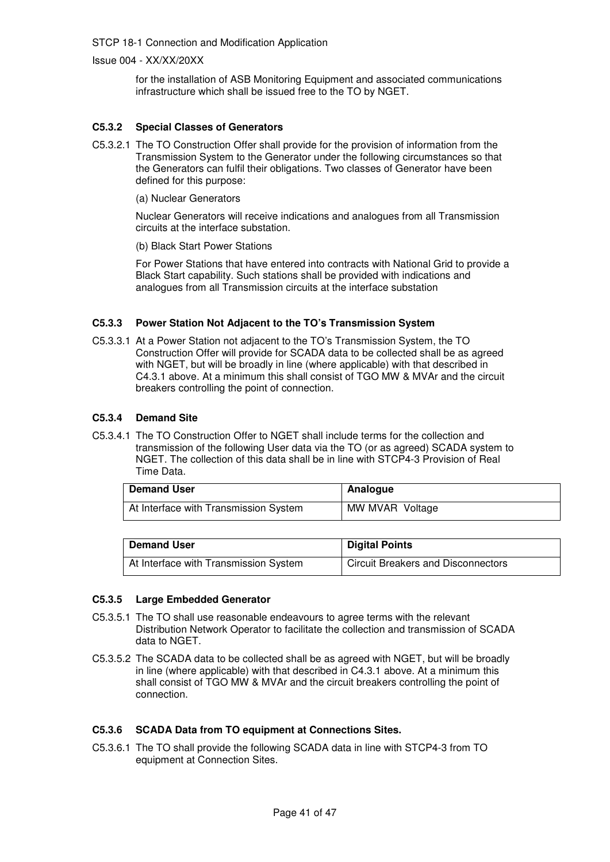Issue 004 - XX/XX/20XX

for the installation of ASB Monitoring Equipment and associated communications infrastructure which shall be issued free to the TO by NGET.

#### **C5.3.2 Special Classes of Generators**

- C5.3.2.1 The TO Construction Offer shall provide for the provision of information from the Transmission System to the Generator under the following circumstances so that the Generators can fulfil their obligations. Two classes of Generator have been defined for this purpose:
	- (a) Nuclear Generators

Nuclear Generators will receive indications and analogues from all Transmission circuits at the interface substation.

(b) Black Start Power Stations

For Power Stations that have entered into contracts with National Grid to provide a Black Start capability. Such stations shall be provided with indications and analogues from all Transmission circuits at the interface substation

#### **C5.3.3 Power Station Not Adjacent to the TO's Transmission System**

C5.3.3.1 At a Power Station not adjacent to the TO's Transmission System, the TO Construction Offer will provide for SCADA data to be collected shall be as agreed with NGET, but will be broadly in line (where applicable) with that described in C4.3.1 above. At a minimum this shall consist of TGO MW & MVAr and the circuit breakers controlling the point of connection.

#### **C5.3.4 Demand Site**

C5.3.4.1 The TO Construction Offer to NGET shall include terms for the collection and transmission of the following User data via the TO (or as agreed) SCADA system to NGET. The collection of this data shall be in line with STCP4-3 Provision of Real Time Data.

| <b>Demand User</b>                    | Analogue        |
|---------------------------------------|-----------------|
| At Interface with Transmission System | MW MVAR Voltage |

| <b>Demand User</b>                    | <b>Digital Points</b>                     |
|---------------------------------------|-------------------------------------------|
| At Interface with Transmission System | <b>Circuit Breakers and Disconnectors</b> |

#### **C5.3.5 Large Embedded Generator**

- C5.3.5.1 The TO shall use reasonable endeavours to agree terms with the relevant Distribution Network Operator to facilitate the collection and transmission of SCADA data to NGET.
- C5.3.5.2 The SCADA data to be collected shall be as agreed with NGET, but will be broadly in line (where applicable) with that described in C4.3.1 above. At a minimum this shall consist of TGO MW & MVAr and the circuit breakers controlling the point of connection.

#### **C5.3.6 SCADA Data from TO equipment at Connections Sites.**

C5.3.6.1 The TO shall provide the following SCADA data in line with STCP4-3 from TO equipment at Connection Sites.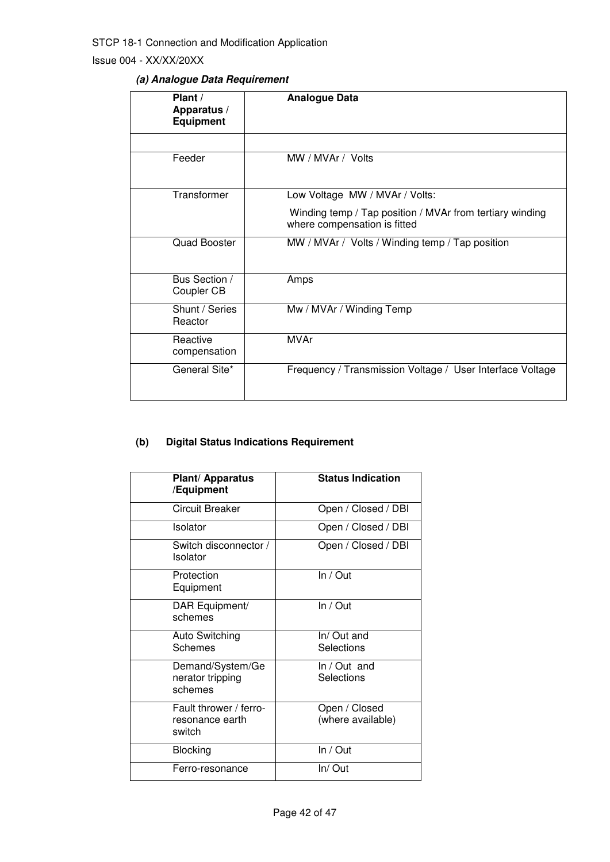Issue 004 - XX/XX/20XX

## **(a) Analogue Data Requirement**

| Plant /<br>Apparatus /<br><b>Equipment</b> | <b>Analogue Data</b>                                                                     |
|--------------------------------------------|------------------------------------------------------------------------------------------|
|                                            |                                                                                          |
| Feeder                                     | MW / MVAr / Volts                                                                        |
| Transformer                                | Low Voltage MW / MVAr / Volts:                                                           |
|                                            | Winding temp / Tap position / MVAr from tertiary winding<br>where compensation is fitted |
| <b>Quad Booster</b>                        | MW / MVAr / Volts / Winding temp / Tap position                                          |
| Bus Section /<br>Coupler CB                | Amps                                                                                     |
| Shunt / Series<br>Reactor                  | Mw / MVAr / Winding Temp                                                                 |
| Reactive<br>compensation                   | MVAr                                                                                     |
| General Site*                              | Frequency / Transmission Voltage / User Interface Voltage                                |

## **(b) Digital Status Indications Requirement**

| Plant/ Apparatus<br>/Equipment                      | <b>Status Indication</b>           |
|-----------------------------------------------------|------------------------------------|
| <b>Circuit Breaker</b>                              | Open / Closed / DBI                |
| Isolator                                            | Open / Closed / DBI                |
| Switch disconnector /<br>Isolator                   | Open / Closed / DBI                |
| Protection<br>Equipment                             | In / Out                           |
| DAR Equipment/<br>schemes                           | In / Out                           |
| <b>Auto Switching</b><br>Schemes                    | In/Out and<br>Selections           |
| Demand/System/Ge<br>nerator tripping<br>schemes     | In / Out and<br>Selections         |
| Fault thrower / ferro-<br>resonance earth<br>switch | Open / Closed<br>(where available) |
| <b>Blocking</b>                                     | In / Out                           |
| Ferro-resonance                                     | In/Out                             |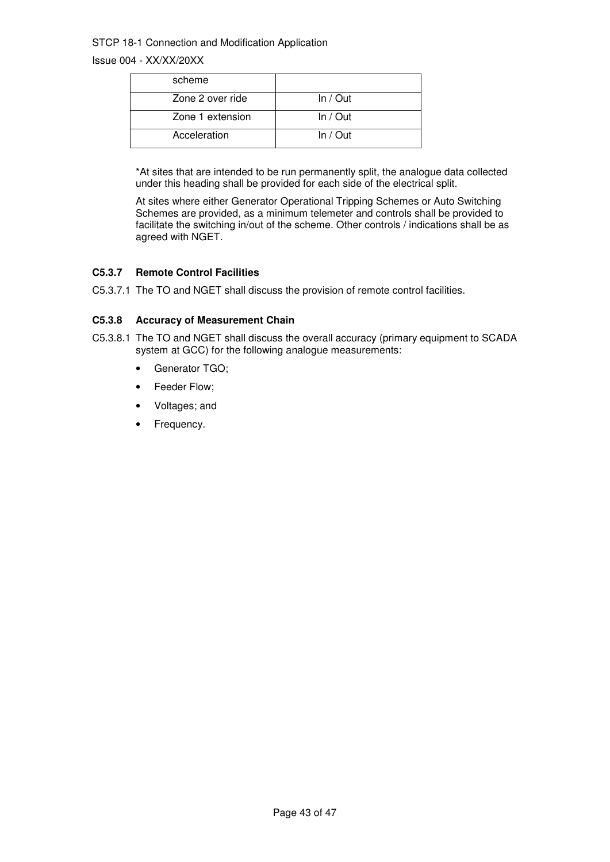Issue 004 - XX/XX/20XX

| scheme           |          |
|------------------|----------|
| Zone 2 over ride | In / Out |
| Zone 1 extension | In / Out |
| Acceleration     | In / Out |

\*At sites that are intended to be run permanently split, the analogue data collected under this heading shall be provided for each side of the electrical split.

At sites where either Generator Operational Tripping Schemes or Auto Switching Schemes are provided, as a minimum telemeter and controls shall be provided to facilitate the switching in/out of the scheme. Other controls / indications shall be as agreed with NGET.

#### **C5.3.7 Remote Control Facilities**

C5.3.7.1 The TO and NGET shall discuss the provision of remote control facilities.

#### **C5.3.8 Accuracy of Measurement Chain**

- C5.3.8.1 The TO and NGET shall discuss the overall accuracy (primary equipment to SCADA system at GCC) for the following analogue measurements:
	- Generator TGO;
	- Feeder Flow;
	- Voltages; and
	- Frequency.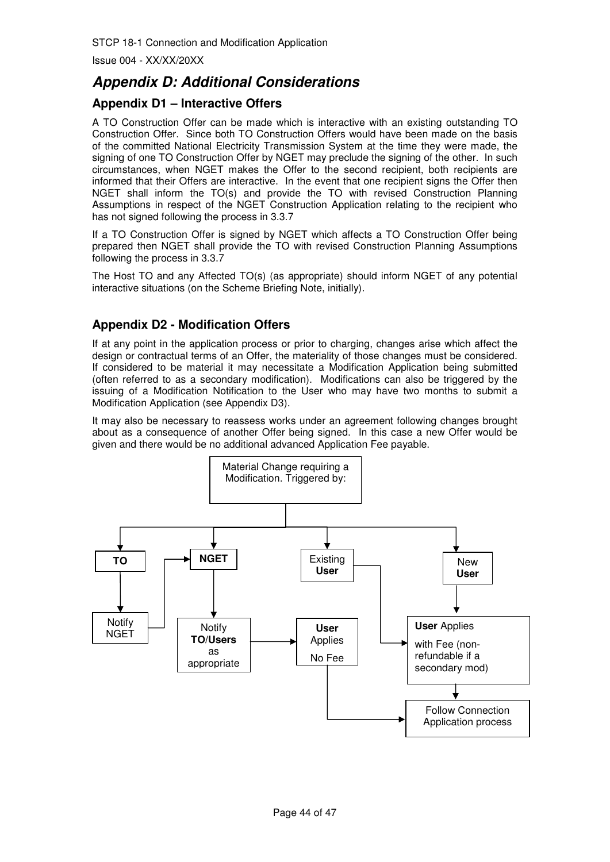# **Appendix D: Additional Considerations**

## **Appendix D1 – Interactive Offers**

A TO Construction Offer can be made which is interactive with an existing outstanding TO Construction Offer. Since both TO Construction Offers would have been made on the basis of the committed National Electricity Transmission System at the time they were made, the signing of one TO Construction Offer by NGET may preclude the signing of the other. In such circumstances, when NGET makes the Offer to the second recipient, both recipients are informed that their Offers are interactive. In the event that one recipient signs the Offer then NGET shall inform the TO(s) and provide the TO with revised Construction Planning Assumptions in respect of the NGET Construction Application relating to the recipient who has not signed following the process in 3.3.7

If a TO Construction Offer is signed by NGET which affects a TO Construction Offer being prepared then NGET shall provide the TO with revised Construction Planning Assumptions following the process in 3.3.7

The Host TO and any Affected TO(s) (as appropriate) should inform NGET of any potential interactive situations (on the Scheme Briefing Note, initially).

## **Appendix D2 - Modification Offers**

If at any point in the application process or prior to charging, changes arise which affect the design or contractual terms of an Offer, the materiality of those changes must be considered. If considered to be material it may necessitate a Modification Application being submitted (often referred to as a secondary modification). Modifications can also be triggered by the issuing of a Modification Notification to the User who may have two months to submit a Modification Application (see Appendix D3).

It may also be necessary to reassess works under an agreement following changes brought about as a consequence of another Offer being signed. In this case a new Offer would be given and there would be no additional advanced Application Fee payable.

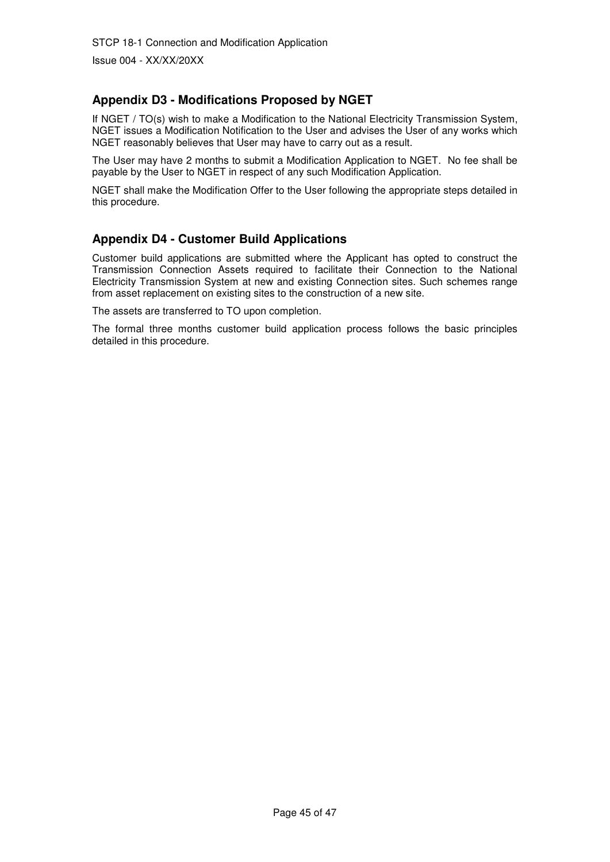Issue 004 - XX/XX/20XX

## **Appendix D3 - Modifications Proposed by NGET**

If NGET / TO(s) wish to make a Modification to the National Electricity Transmission System, NGET issues a Modification Notification to the User and advises the User of any works which NGET reasonably believes that User may have to carry out as a result.

The User may have 2 months to submit a Modification Application to NGET. No fee shall be payable by the User to NGET in respect of any such Modification Application.

NGET shall make the Modification Offer to the User following the appropriate steps detailed in this procedure.

## **Appendix D4 - Customer Build Applications**

Customer build applications are submitted where the Applicant has opted to construct the Transmission Connection Assets required to facilitate their Connection to the National Electricity Transmission System at new and existing Connection sites. Such schemes range from asset replacement on existing sites to the construction of a new site.

The assets are transferred to TO upon completion.

The formal three months customer build application process follows the basic principles detailed in this procedure.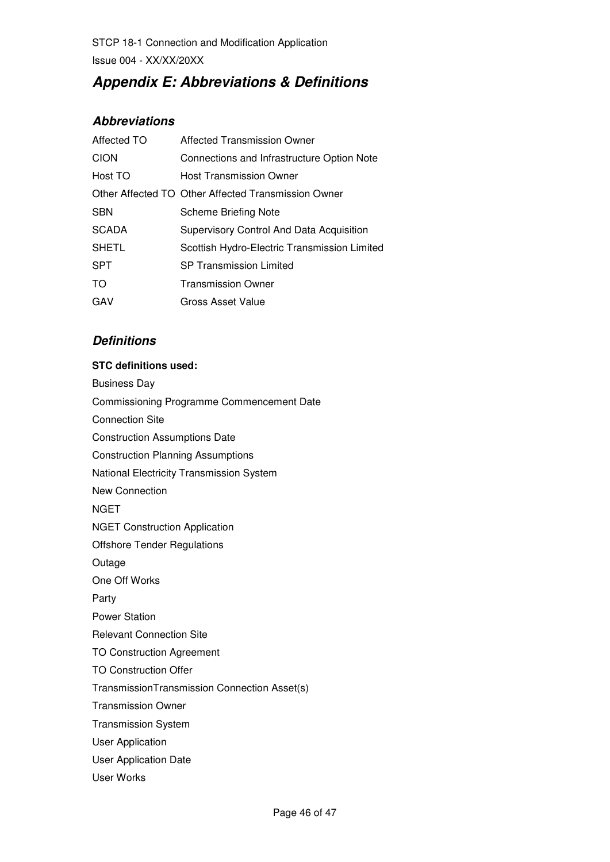STCP 18-1 Connection and Modification Application Issue 004 - XX/XX/20XX

# **Appendix E: Abbreviations & Definitions**

## **Abbreviations**

| Affected TO  | <b>Affected Transmission Owner</b>                  |
|--------------|-----------------------------------------------------|
| <b>CION</b>  | Connections and Infrastructure Option Note          |
| Host TO      | Host Transmission Owner                             |
|              | Other Affected TO Other Affected Transmission Owner |
| <b>SBN</b>   | <b>Scheme Briefing Note</b>                         |
| <b>SCADA</b> | Supervisory Control And Data Acquisition            |
| <b>SHETL</b> | Scottish Hydro-Electric Transmission Limited        |
| <b>SPT</b>   | <b>SP Transmission Limited</b>                      |
| TO.          | <b>Transmission Owner</b>                           |
| GAV          | Gross Asset Value                                   |
|              |                                                     |

## **Definitions**

#### **STC definitions used:**

Business Day Commissioning Programme Commencement Date Connection Site Construction Assumptions Date Construction Planning Assumptions National Electricity Transmission System New Connection **NGET** NGET Construction Application Offshore Tender Regulations Outage One Off Works Party Power Station Relevant Connection Site TO Construction Agreement TO Construction Offer TransmissionTransmission Connection Asset(s) Transmission Owner Transmission System User Application User Application Date User Works